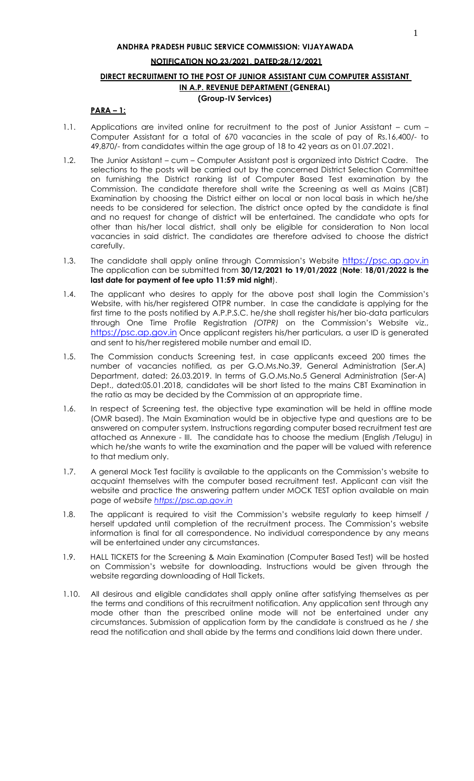# **NOTIFICATION NO.23/2021, DATED:28/12/2021**

## **DIRECT RECRUITMENT TO THE POST OF JUNIOR ASSISTANT CUM COMPUTER ASSISTANT IN A.P. REVENUE DEPARTMENT (GENERAL) (Group-IV Services)**

# **PARA – 1:**

- 1.1. Applications are invited online for recruitment to the post of Junior Assistant cum Computer Assistant for a total of 670 vacancies in the scale of pay of Rs.16,400/- to 49,870/- from candidates within the age group of 18 to 42 years as on 01.07.2021.
- 1.2. The Junior Assistant cum Computer Assistant post is organized into District Cadre. The selections to the posts will be carried out by the concerned District Selection Committee on furnishing the District ranking list of Computer Based Test examination by the Commission. The candidate therefore shall write the Screening as well as Mains (CBT) Examination by choosing the District either on local or non local basis in which he/she needs to be considered for selection. The district once opted by the candidate is final and no request for change of district will be entertained. The candidate who opts for other than his/her local district, shall only be eligible for consideration to Non local vacancies in said district. The candidates are therefore advised to choose the district carefully.
- 1.3. The candidate shall apply online through Commission's Website [https://psc.ap.gov.in](https://psc.ap.gov.in/) The application can be submitted from **30/12/2021 to 19/01/2022** (**Note**: **18/01/2022 is the last date for payment of fee upto 11:59 mid night**).
- 1.4. The applicant who desires to apply for the above post shall login the Commission's Website, with his/her registered OTPR number. In case the candidate is applying for the first time to the posts notified by A.P.P.S.C. he/she shall register his/her bio-data particulars through One Time Profile Registration *(OTPR)* on the Commission's Website viz., [https://psc.ap.gov.in](https://psc.ap.gov.in/) Once applicant registers his/her particulars, a user ID is generated and sent to his/her registered mobile number and email ID.
- 1.5. The Commission conducts Screening test, in case applicants exceed 200 times the number of vacancies notified, as per G.O.Ms.No.39, General Administration (Ser.A) Department, dated: 26.03.2019. In terms of G.O.Ms.No.5 General Administration (Ser-A) Dept., dated:05.01.2018, candidates will be short listed to the mains CBT Examination in the ratio as may be decided by the Commission at an appropriate time.
- 1.6. In respect of Screening test, the objective type examination will be held in offline mode (OMR based). The Main Examination would be in objective type and questions are to be answered on computer system. Instructions regarding computer based recruitment test are attached as Annexure - III. The candidate has to choose the medium (English /Telugu) in which he/she wants to write the examination and the paper will be valued with reference to that medium only.
- 1.7. A general Mock Test facility is available to the applicants on the Commission's website to acquaint themselves with the computer based recruitment test. Applicant can visit the website and practice the answering pattern under MOCK TEST option available on main page of *website [https://psc.ap.gov.in](http://www.psc.ap.gov.in/)*
- 1.8. The applicant is required to visit the Commission's website regularly to keep himself / herself updated until completion of the recruitment process. The Commission's website information is final for all correspondence. No individual correspondence by any means will be entertained under any circumstances.
- 1.9. HALL TICKETS for the Screening & Main Examination (Computer Based Test) will be hosted on Commission's website for downloading. Instructions would be given through the website regarding downloading of Hall Tickets.
- 1.10. All desirous and eligible candidates shall apply online after satisfying themselves as per the terms and conditions of this recruitment notification. Any application sent through any mode other than the prescribed online mode will not be entertained under any circumstances. Submission of application form by the candidate is construed as he / she read the notification and shall abide by the terms and conditions laid down there under.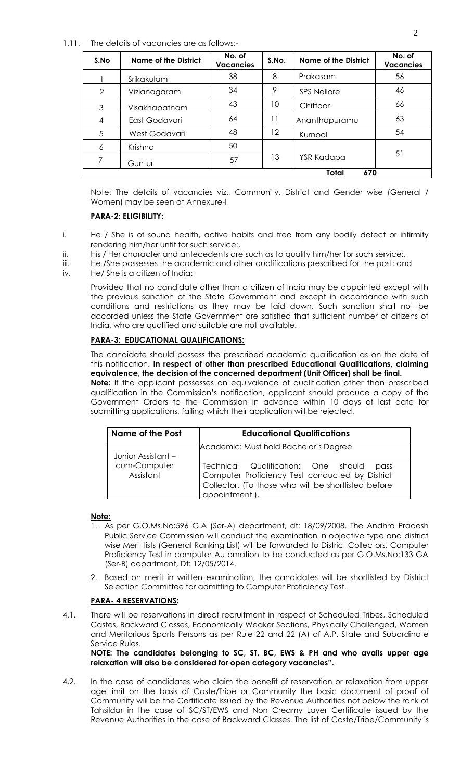#### 1.11. The details of vacancies are as follows:-

| S.No          | Name of the District | No. of<br><b>Vacancies</b> | S.No. | Name of the District | No. of<br><b>Vacancies</b> |  |  |  |  |  |  |
|---------------|----------------------|----------------------------|-------|----------------------|----------------------------|--|--|--|--|--|--|
|               | Srikakulam           | 38                         | 8     | Prakasam             | 56                         |  |  |  |  |  |  |
| $\mathcal{D}$ | Vizianagaram         | 34                         | 9     | <b>SPS Nellore</b>   | 46                         |  |  |  |  |  |  |
| 3             | Visakhapatnam        | 43                         | 10    | Chittoor             | 66                         |  |  |  |  |  |  |
| 4             | East Godavari        | 64                         | 11    | Ananthapuramu        | 63                         |  |  |  |  |  |  |
| 5             | West Godavari        | 48                         | 12    | Kurnool              | 54                         |  |  |  |  |  |  |
| 6             | Krishna              | 50                         |       |                      |                            |  |  |  |  |  |  |
|               | Guntur               | 57                         | 13    | YSR Kadapa           | 51                         |  |  |  |  |  |  |
|               | Total<br>670         |                            |       |                      |                            |  |  |  |  |  |  |

Note: The details of vacancies viz., Community, District and Gender wise (General / Women) may be seen at Annexure-I

### **PARA-2: ELIGIBILITY:**

- i. He / She is of sound health, active habits and free from any bodily defect or infirmity rendering him/her unfit for such service:,
- ii. His / Her character and antecedents are such as to qualify him/her for such service:,
- iii. He /She possesses the academic and other qualifications prescribed for the post: and
- iv. He/ She is a citizen of India:

Provided that no candidate other than a citizen of India may be appointed except with the previous sanction of the State Government and except in accordance with such conditions and restrictions as they may be laid down. Such sanction shall not be accorded unless the State Government are satisfied that sufficient number of citizens of India, who are qualified and suitable are not available.

# **PARA-3: EDUCATIONAL QUALIFICATIONS:**

 The candidate should possess the prescribed academic qualification as on the date of this notification. **In respect of other than prescribed Educational Qualifications, claiming equivalence, the decision of the concerned department (Unit Officer) shall be final.**

**Note:** If the applicant possesses an equivalence of qualification other than prescribed qualification in the Commission's notification, applicant should produce a copy of the Government Orders to the Commission in advance within 10 days of last date for submitting applications, failing which their application will be rejected.

| <b>Name of the Post</b>   | <b>Educational Qualifications</b>                                                                                                                                   |
|---------------------------|---------------------------------------------------------------------------------------------------------------------------------------------------------------------|
| Junior Assistant –        | Academic: Must hold Bachelor's Degree                                                                                                                               |
| cum-Computer<br>Assistant | Technical Qualification: One should pass<br>Computer Proficiency Test conducted by District<br>Collector. (To those who will be shortlisted before<br>appointment). |

#### **Note:**

- 1. As per G.O.Ms.No:596 G.A (Ser-A) department, dt: 18/09/2008. The Andhra Pradesh Public Service Commission will conduct the examination in objective type and district wise Merit lists (General Ranking List) will be forwarded to District Collectors. Computer Proficiency Test in computer Automation to be conducted as per G.O.Ms.No:133 GA (Ser-B) department, Dt: 12/05/2014.
- 2. Based on merit in written examination, the candidates will be shortlisted by District Selection Committee for admitting to Computer Proficiency Test.

# **PARA- 4 RESERVATIONS:**

4.1. There will be reservations in direct recruitment in respect of Scheduled Tribes, Scheduled Castes, Backward Classes, Economically Weaker Sections, Physically Challenged, Women and Meritorious Sports Persons as per Rule 22 and 22 (A) of A.P. State and Subordinate Service Rules.

**NOTE: The candidates belonging to SC, ST, BC, EWS & PH and who avails upper age relaxation will also be considered for open category vacancies".**

4**.**2. In the case of candidates who claim the benefit of reservation or relaxation from upper age limit on the basis of Caste/Tribe or Community the basic document of proof of Community will be the Certificate issued by the Revenue Authorities not below the rank of Tahsildar in the case of SC/ST/EWS and Non Creamy Layer Certificate issued by the Revenue Authorities in the case of Backward Classes. The list of Caste/Tribe/Community is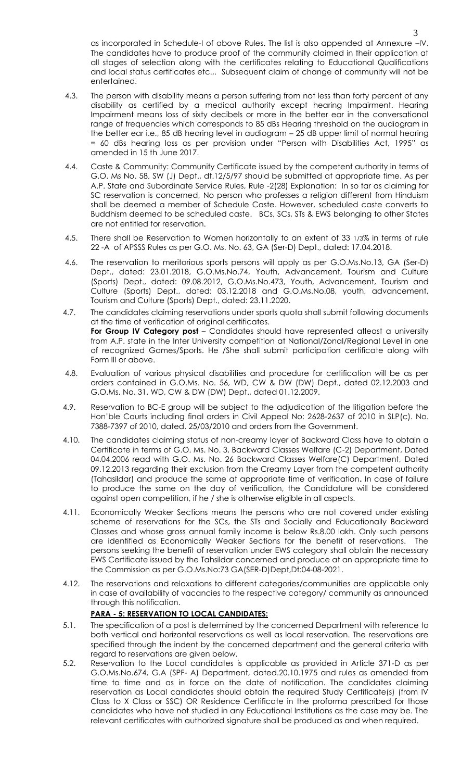as incorporated in Schedule-I of above Rules. The list is also appended at Annexure –IV. The candidates have to produce proof of the community claimed in their application at all stages of selection along with the certificates relating to Educational Qualifications and local status certificates etc.,. Subsequent claim of change of community will not be entertained.

- 4.3. The person with disability means a person suffering from not less than forty percent of any disability as certified by a medical authority except hearing Impairment. Hearing Impairment means loss of sixty decibels or more in the better ear in the conversational range of frequencies which corresponds to 85 dBs Hearing threshold on the audiogram in the better ear i.e., 85 dB hearing level in audiogram – 25 dB upper limit of normal hearing = 60 dBs hearing loss as per provision under "Person with Disabilities Act, 1995" as amended in 15 th June 2017.
- 4.4. Caste & Community: Community Certificate issued by the competent authority in terms of G.O. Ms No. 58, SW (J) Dept., dt.12/5/97 should be submitted at appropriate time. As per A.P. State and Subordinate Service Rules, Rule -2(28) Explanation: In so far as claiming for SC reservation is concerned, No person who professes a religion different from Hinduism shall be deemed a member of Schedule Caste. However, scheduled caste converts to Buddhism deemed to be scheduled caste. BCs, SCs, STs & EWS belonging to other States are not entitled for reservation.
- 4.5. There shall be Reservation to Women horizontally to an extent of 33 1/3% in terms of rule 22 -A of APSSS Rules as per G.O. Ms. No. 63, GA (Ser-D) Dept., dated: 17.04.2018.
- 4.6. The reservation to meritorious sports persons will apply as per G.O.Ms.No.13, GA (Ser-D) Dept., dated: 23.01.2018, G.O.Ms.No.74, Youth, Advancement, Tourism and Culture (Sports) Dept., dated: 09.08.2012, G.O.Ms.No.473, Youth, Advancement, Tourism and Culture (Sports) Dept., dated: 03.12.2018 and G.O.Ms.No.08, youth, advancement, Tourism and Culture (Sports) Dept., dated: 23.11.2020.
- 4.7. The candidates claiming reservations under sports quota shall submit following documents at the time of verification of original certificates. **For Group IV Category post** – Candidates should have represented atleast a university from A.P. state in the Inter University competition at National/Zonal/Regional Level in one of recognized Games/Sports. He /She shall submit participation certificate along with Form III or above.
- 4.8. Evaluation of various physical disabilities and procedure for certification will be as per orders contained in G.O.Ms. No. 56, WD, CW & DW (DW) Dept., dated 02.12.2003 and G.O.Ms. No. 31, WD, CW & DW (DW) Dept., dated 01.12.2009.
- 4.9. Reservation to BC-E group will be subject to the adjudication of the litigation before the Hon'ble Courts including final orders in Civil Appeal No: 2628-2637 of 2010 in SLP(c). No. 7388-7397 of 2010, dated. 25/03/2010 and orders from the Government.
- 4.10. The candidates claiming status of non-creamy layer of Backward Class have to obtain a Certificate in terms of G.O. Ms. No. 3, Backward Classes Welfare (C-2) Department, Dated 04.04.2006 read with G.O. Ms. No. 26 Backward Classes Welfare(C) Department, Dated 09.12.2013 regarding their exclusion from the Creamy Layer from the competent authority (Tahasildar) and produce the same at appropriate time of verification**.** In case of failure to produce the same on the day of verification, the Candidature will be considered against open competition, if he / she is otherwise eligible in all aspects.
- 4.11. Economically Weaker Sections means the persons who are not covered under existing scheme of reservations for the SCs, the STs and Socially and Educationally Backward Classes and whose gross annual family income is below Rs.8.00 lakh. Only such persons are identified as Economically Weaker Sections for the benefit of reservations. The persons seeking the benefit of reservation under EWS category shall obtain the necessary EWS Certificate issued by the Tahsildar concerned and produce at an appropriate time to the Commission as per G.O.Ms.No:73 GA(SER-D)Dept,Dt:04-08-2021.
- 4.12. The reservations and relaxations to different categories/communities are applicable only in case of availability of vacancies to the respective category/ community as announced through this notification.

# **PARA - 5: RESERVATION TO LOCAL CANDIDATES:**

- 5.1. The specification of a post is determined by the concerned Department with reference to both vertical and horizontal reservations as well as local reservation. The reservations are specified through the indent by the concerned department and the general criteria with regard to reservations are given below.
- 5.2. Reservation to the Local candidates is applicable as provided in Article 371-D as per G.O.Ms.No.674, G.A (SPF- A) Department, dated.20.10.1975 and rules as amended from time to time and as in force on the date of notification. The candidates claiming reservation as Local candidates should obtain the required Study Certificate(s) (from IV Class to X Class or SSC) OR Residence Certificate in the proforma prescribed for those candidates who have not studied in any Educational Institutions as the case may be. The relevant certificates with authorized signature shall be produced as and when required.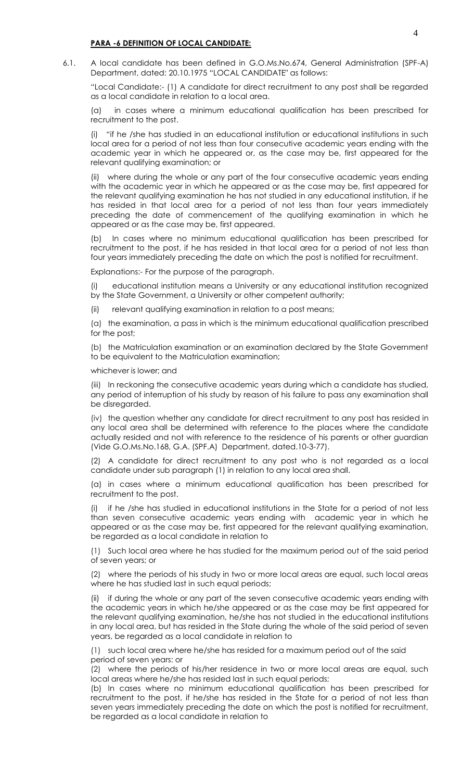#### **PARA -6 DEFINITION OF LOCAL CANDIDATE:**

6.1. A local candidate has been defined in G.O.Ms.No.674, General Administration (SPF-A) Department, dated: 20.10.1975 "LOCAL CANDIDATE" as follows:

"Local Candidate:- (1) A candidate for direct recruitment to any post shall be regarded as a local candidate in relation to a local area.

(a) in cases where a minimum educational qualification has been prescribed for recruitment to the post.

"if he /she has studied in an educational institution or educational institutions in such local area for a period of not less than four consecutive academic years ending with the academic year in which he appeared or, as the case may be, first appeared for the relevant qualifying examination; or

(ii) where during the whole or any part of the four consecutive academic years ending with the academic year in which he appeared or as the case may be, first appeared for the relevant qualifying examination he has not studied in any educational institution, if he has resided in that local area for a period of not less than four years immediately preceding the date of commencement of the qualifying examination in which he appeared or as the case may be, first appeared.

(b) In cases where no minimum educational qualification has been prescribed for recruitment to the post, if he has resided in that local area for a period of not less than four years immediately preceding the date on which the post is notified for recruitment.

Explanations:- For the purpose of the paragraph.

educational institution means a University or any educational institution recognized by the State Government, a University or other competent authority;

relevant qualifying examination in relation to a post means;

(a) the examination, a pass in which is the minimum educational qualification prescribed for the post;

(b) the Matriculation examination or an examination declared by the State Government to be equivalent to the Matriculation examination;

whichever is lower; and

(iii) In reckoning the consecutive academic years during which a candidate has studied, any period of interruption of his study by reason of his failure to pass any examination shall be disregarded.

(iv) the question whether any candidate for direct recruitment to any post has resided in any local area shall be determined with reference to the places where the candidate actually resided and not with reference to the residence of his parents or other guardian (Vide G.O.Ms.No.168, G.A. (SPF.A) Department, dated.10-3-77).

(2) A candidate for direct recruitment to any post who is not regarded as a local candidate under sub paragraph (1) in relation to any local area shall.

(a) in cases where a minimum educational qualification has been prescribed for recruitment to the post.

(i) if he /she has studied in educational institutions in the State for a period of not less than seven consecutive academic years ending with academic year in which he appeared or as the case may be, first appeared for the relevant qualifying examination, be regarded as a local candidate in relation to

(1) Such local area where he has studied for the maximum period out of the said period of seven years; or

(2) where the periods of his study in two or more local areas are equal, such local areas where he has studied last in such equal periods;

(ii) if during the whole or any part of the seven consecutive academic years ending with the academic years in which he/she appeared or as the case may be first appeared for the relevant qualifying examination, he/she has not studied in the educational institutions in any local area, but has resided in the State during the whole of the said period of seven years, be regarded as a local candidate in relation to

(1) such local area where he/she has resided for a maximum period out of the said period of seven years: or

(2) where the periods of his/her residence in two or more local areas are equal, such local areas where he/she has resided last in such equal periods;

(b) In cases where no minimum educational qualification has been prescribed for recruitment to the post, if he/she has resided in the State for a period of not less than seven years immediately preceding the date on which the post is notified for recruitment, be regarded as a local candidate in relation to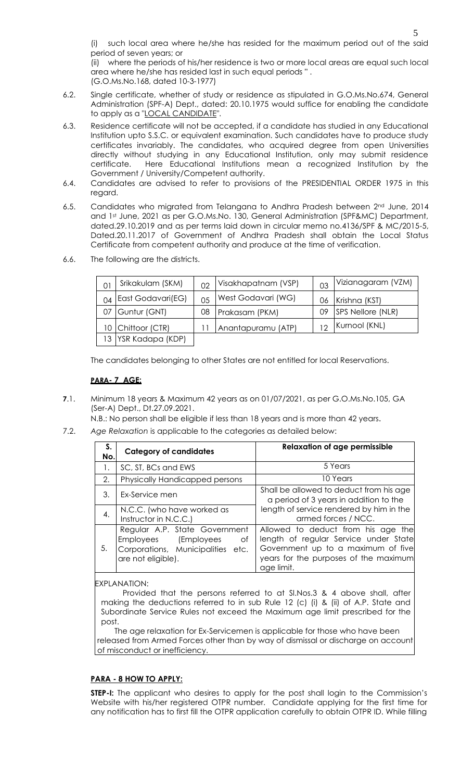such local area where he/she has resided for the maximum period out of the said period of seven years; or

(ii) where the periods of his/her residence is two or more local areas are equal such local area where he/she has resided last in such equal periods " . (G.O.Ms.No.168, dated 10-3-1977)

- 6.2. Single certificate, whether of study or residence as stipulated in G.O.Ms.No.674, General Administration (SPF-A) Dept., dated: 20.10.1975 would suffice for enabling the candidate to apply as a "LOCAL CANDIDATE".
- 6.3. Residence certificate will not be accepted, if a candidate has studied in any Educational Institution upto S.S.C. or equivalent examination. Such candidates have to produce study certificates invariably. The candidates, who acquired degree from open Universities directly without studying in any Educational Institution, only may submit residence certificate. Here Educational Institutions mean a recognized Institution by the Government / University/Competent authority.
- 6.4. Candidates are advised to refer to provisions of the PRESIDENTIAL ORDER 1975 in this regard.
- 6.5. Candidates who migrated from Telangana to Andhra Pradesh between 2<sup>nd</sup> June, 2014 and 1st June, 2021 as per G.O.Ms.No. 130, General Administration (SPF&MC) Department, dated.29.10.2019 and as per terms laid down in circular memo no.4136/SPF & MC/2015-5, Dated.20.11.2017 of Government of Andhra Pradesh shall obtain the Local Status Certificate from competent authority and produce at the time of verification.
- 6.6. The following are the districts.

|    | Srikakulam (SKM)    | $\cap$ | Visakhapatnam (VSP) | 03 | Vizianagaram (VZM) |
|----|---------------------|--------|---------------------|----|--------------------|
| 04 | East Godavari(EG)   | 0.5    | West Godavari (WG)  | 06 | Krishna (KST)      |
| 07 | Guntur (GNT)        | 08     | Prakasam (PKM)      | 09 | SPS Nellore (NLR)  |
|    | 10   Chittoor (CTR) |        | Anantapuramu (ATP)  | 12 | Kurnool (KNL)      |
|    | 13 YSR Kadapa (KDP) |        |                     |    |                    |

The candidates belonging to other States are not entitled for local Reservations.

### **PARA- 7 AGE:**

**7**.1. Minimum 18 years & Maximum 42 years as on 01/07/2021, as per G.O.Ms.No.105, GA (Ser-A) Dept., Dt.27.09.2021.

N.B.: No person shall be eligible if less than 18 years and is more than 42 years.

7.2. *Age Relaxation* is applicable to the categories as detailed below:

| S.<br>No. | <b>Category of candidates</b>                                                                                          | <b>Relaxation of age permissible</b>                                                                                                                                     |  |  |  |  |
|-----------|------------------------------------------------------------------------------------------------------------------------|--------------------------------------------------------------------------------------------------------------------------------------------------------------------------|--|--|--|--|
|           | SC, ST, BCs and EWS                                                                                                    | 5 Years                                                                                                                                                                  |  |  |  |  |
| 2.        | Physically Handicapped persons                                                                                         | 10 Years                                                                                                                                                                 |  |  |  |  |
| 3.        | Ex-Service men                                                                                                         | Shall be allowed to deduct from his age<br>a period of 3 years in addition to the                                                                                        |  |  |  |  |
| 4.        | N.C.C. (who have worked as<br>Instructor in N.C.C.)                                                                    | length of service rendered by him in the<br>armed forces / NCC.                                                                                                          |  |  |  |  |
| 5.        | Regular A.P. State Government<br>Employees (Employees<br>of<br>Corporations, Municipalities etc.<br>are not eligible). | Allowed to deduct from his age the<br>length of regular Service under State<br>Government up to a maximum of five<br>years for the purposes of the maximum<br>age limit. |  |  |  |  |

EXPLANATION:

Provided that the persons referred to at Sl.Nos.3 & 4 above shall, after making the deductions referred to in sub Rule 12 (c) (i) & (ii) of A.P. State and Subordinate Service Rules not exceed the Maximum age limit prescribed for the post.

 The age relaxation for Ex-Servicemen is applicable for those who have been released from Armed Forces other than by way of dismissal or discharge on account of misconduct or inefficiency.

#### **PARA - 8 HOW TO APPLY:**

**STEP-I:** The applicant who desires to apply for the post shall login to the Commission's Website with his/her registered OTPR number. Candidate applying for the first time for any notification has to first fill the OTPR application carefully to obtain OTPR ID. While filling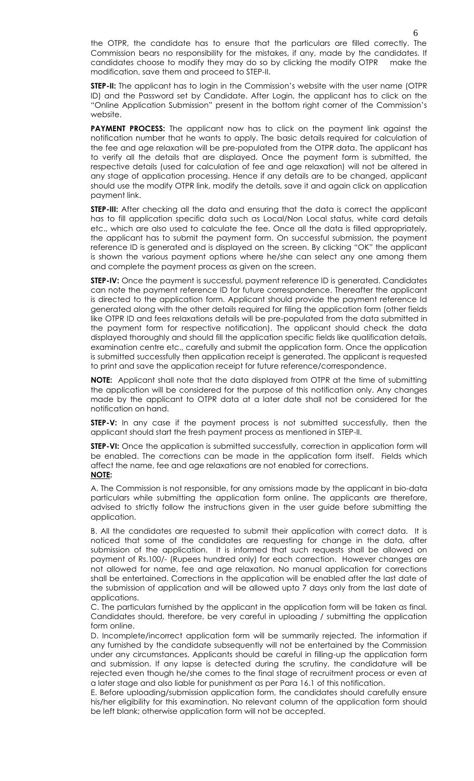the OTPR, the candidate has to ensure that the particulars are filled correctly. The Commission bears no responsibility for the mistakes, if any, made by the candidates. If candidates choose to modify they may do so by clicking the modify OTPR make the modification, save them and proceed to STEP-II.

**STEP-II:** The applicant has to login in the Commission's website with the user name (OTPR ID) and the Password set by Candidate. After Login, the applicant has to click on the "Online Application Submission" present in the bottom right corner of the Commission's website.

**PAYMENT PROCESS:** The applicant now has to click on the payment link against the notification number that he wants to apply. The basic details required for calculation of the fee and age relaxation will be pre-populated from the OTPR data. The applicant has to verify all the details that are displayed. Once the payment form is submitted, the respective details (used for calculation of fee and age relaxation) will not be altered in any stage of application processing. Hence if any details are to be changed, applicant should use the modify OTPR link, modify the details, save it and again click on application payment link.

**STEP-III:** After checking all the data and ensuring that the data is correct the applicant has to fill application specific data such as Local/Non Local status, white card details etc., which are also used to calculate the fee. Once all the data is filled appropriately, the applicant has to submit the payment form. On successful submission, the payment reference ID is generated and is displayed on the screen. By clicking "OK" the applicant is shown the various payment options where he/she can select any one among them and complete the payment process as given on the screen.

**STEP-IV:** Once the payment is successful, payment reference ID is generated. Candidates can note the payment reference ID for future correspondence. Thereafter the applicant is directed to the application form. Applicant should provide the payment reference Id generated along with the other details required for filing the application form (other fields like OTPR ID and fees relaxations details will be pre-populated from the data submitted in the payment form for respective notification). The applicant should check the data displayed thoroughly and should fill the application specific fields like qualification details, examination centre etc., carefully and submit the application form. Once the application is submitted successfully then application receipt is generated. The applicant is requested to print and save the application receipt for future reference/correspondence.

**NOTE:** Applicant shall note that the data displayed from OTPR at the time of submitting the application will be considered for the purpose of this notification only. Any changes made by the applicant to OTPR data at a later date shall not be considered for the notification on hand.

**STEP-V:** In any case if the payment process is not submitted successfully, then the applicant should start the fresh payment process as mentioned in STEP-II.

**STEP-VI:** Once the application is submitted successfully, correction in application form will be enabled. The corrections can be made in the application form itself. Fields which affect the name, fee and age relaxations are not enabled for corrections. **NOTE:**

A. The Commission is not responsible, for any omissions made by the applicant in bio-data particulars while submitting the application form online. The applicants are therefore, advised to strictly follow the instructions given in the user guide before submitting the application.

B. All the candidates are requested to submit their application with correct data. It is noticed that some of the candidates are requesting for change in the data, after submission of the application. It is informed that such requests shall be allowed on payment of Rs.100/- (Rupees hundred only) for each correction. However changes are not allowed for name, fee and age relaxation. No manual application for corrections shall be entertained. Corrections in the application will be enabled after the last date of the submission of application and will be allowed upto 7 days only from the last date of applications.

C. The particulars furnished by the applicant in the application form will be taken as final. Candidates should, therefore, be very careful in uploading / submitting the application form online.

D. Incomplete/incorrect application form will be summarily rejected. The information if any furnished by the candidate subsequently will not be entertained by the Commission under any circumstances. Applicants should be careful in filling-up the application form and submission. If any lapse is detected during the scrutiny, the candidature will be rejected even though he/she comes to the final stage of recruitment process or even at a later stage and also liable for punishment as per Para 16.1 of this notification.

E. Before uploading/submission application form, the candidates should carefully ensure his/her eligibility for this examination. No relevant column of the application form should be left blank; otherwise application form will not be accepted.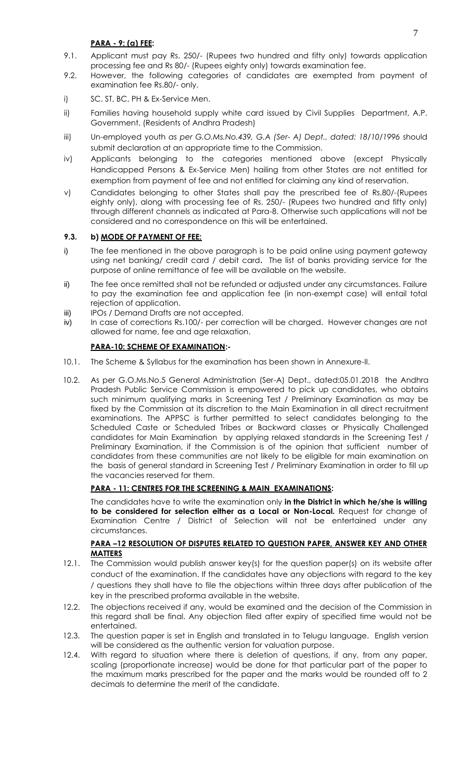- 9.1. Applicant must pay Rs. 250/- (Rupees two hundred and fifty only) towards application processing fee and Rs 80/- (Rupees eighty only) towards examination fee.
- 9.2. However, the following categories of candidates are exempted from payment of examination fee Rs.80/- only.
- i) SC, ST, BC, PH & Ex-Service Men.
- ii) Families having household supply white card issued by Civil Supplies Department, A.P. Government. (Residents of Andhra Pradesh)
- iii) Un-employed youth *as per G.O.Ms.No.439, G.A (Ser- A) Dept., dated: 18/10/1996* should submit declaration at an appropriate time to the Commission.
- iv) Applicants belonging to the categories mentioned above (except Physically Handicapped Persons & Ex-Service Men) hailing from other States are not entitled for exemption from payment of fee and not entitled for claiming any kind of reservation.
- v) Candidates belonging to other States shall pay the prescribed fee of Rs.80/-(Rupees eighty only), along with processing fee of Rs. 250/- (Rupees two hundred and fifty only) through different channels as indicated at Para-8. Otherwise such applications will not be considered and no correspondence on this will be entertained.

# **9.3. b) MODE OF PAYMENT OF FEE:**

- i) The fee mentioned in the above paragraph is to be paid online using payment gateway using net banking/ credit card / debit card**.** The list of banks providing service for the purpose of online remittance of fee will be available on the website.
- ii) The fee once remitted shall not be refunded or adjusted under any circumstances. Failure to pay the examination fee and application fee (in non-exempt case) will entail total rejection of application.
- iii) IPOs / Demand Drafts are not accepted.
- iv) In case of corrections Rs.100/- per correction will be charged. However changes are not allowed for name, fee and age relaxation.

# **PARA-10: SCHEME OF EXAMINATION:-**

- 10.1. The Scheme & Syllabus for the examination has been shown in Annexure-II.
- 10.2. As per G.O.Ms.No.5 General Administration (Ser-A) Dept., dated:05.01.2018 the Andhra Pradesh Public Service Commission is empowered to pick up candidates, who obtains such minimum qualifying marks in Screening Test / Preliminary Examination as may be fixed by the Commission at its discretion to the Main Examination in all direct recruitment examinations. The APPSC is further permitted to select candidates belonging to the Scheduled Caste or Scheduled Tribes or Backward classes or Physically Challenged candidates for Main Examination by applying relaxed standards in the Screening Test / Preliminary Examination, if the Commission is of the opinion that sufficient number of candidates from these communities are not likely to be eligible for main examination on the basis of general standard in Screening Test / Preliminary Examination in order to fill up the vacancies reserved for them.

# **PARA - 11: CENTRES FOR THE SCREENING & MAIN EXAMINATIONS:**

The candidates have to write the examination only **in the District in which he/she is willing to be considered for selection either as a Local or Non-Local.** Request for change of Examination Centre / District of Selection will not be entertained under any circumstances.

### **PARA –12 RESOLUTION OF DISPUTES RELATED TO QUESTION PAPER, ANSWER KEY AND OTHER MATTERS**

- 12.1. The Commission would publish answer key(s) for the question paper(s) on its website after conduct of the examination. If the candidates have any objections with regard to the key / questions they shall have to file the objections within three days after publication of the key in the prescribed proforma available in the website.
- 12.2. The objections received if any, would be examined and the decision of the Commission in this regard shall be final. Any objection filed after expiry of specified time would not be entertained.
- 12.3. The question paper is set in English and translated in to Telugu language. English version will be considered as the authentic version for valuation purpose.
- 12.4. With regard to situation where there is deletion of questions, if any, from any paper, scaling (proportionate increase) would be done for that particular part of the paper to the maximum marks prescribed for the paper and the marks would be rounded off to 2 decimals to determine the merit of the candidate.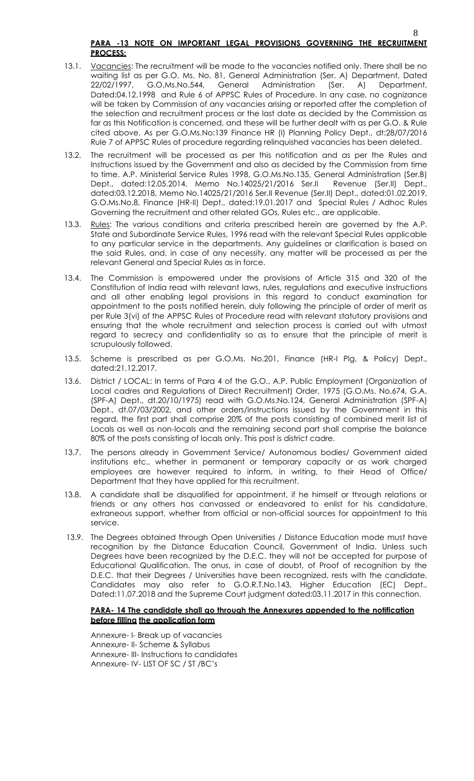- 13.1. Vacancies: The recruitment will be made to the vacancies notified only. There shall be no waiting list as per G.O. Ms. No. 81, General Administration (Ser. A) Department, Dated 22/02/1997, G.O.Ms.No.544, General Administration (Ser. A) Department, Dated:04.12.1998 and Rule 6 of APPSC Rules of Procedure. In any case, no cognizance will be taken by Commission of any vacancies arising or reported after the completion of the selection and recruitment process or the last date as decided by the Commission as far as this Notification is concerned, and these will be further dealt with as per G.O. & Rule cited above. As per G.O.Ms.No:139 Finance HR (I) Planning Policy Dept., dt:28/07/2016 Rule 7 of APPSC Rules of procedure regarding relinquished vacancies has been deleted.
- 13.2. The recruitment will be processed as per this notification and as per the Rules and Instructions issued by the Government and also as decided by the Commission from time to time. A.P. Ministerial Service Rules 1998, G.O.Ms.No.135, General Administration (Ser.B) Dept., dated:12.05.2014, Memo No.14025/21/2016 Ser.II Revenue (Ser.II) Dept., dated:03.12.2018, Memo No.14025/21/2016 Ser.II Revenue (Ser.II) Dept., dated:01.02.2019, G.O.Ms.No.8, Finance (HR-II) Dept., dated:19.01.2017 and Special Rules / Adhoc Rules Governing the recruitment and other related GOs, Rules etc., are applicable.
- 13.3. Rules: The various conditions and criteria prescribed herein are governed by the A.P. State and Subordinate Service Rules, 1996 read with the relevant Special Rules applicable to any particular service in the departments. Any guidelines or clarification is based on the said Rules, and, in case of any necessity, any matter will be processed as per the relevant General and Special Rules as in force.
- 13.4. The Commission is empowered under the provisions of Article 315 and 320 of the Constitution of India read with relevant laws, rules, regulations and executive instructions and all other enabling legal provisions in this regard to conduct examination for appointment to the posts notified herein, duly following the principle of order of merit as per Rule 3(vi) of the APPSC Rules of Procedure read with relevant statutory provisions and ensuring that the whole recruitment and selection process is carried out with utmost regard to secrecy and confidentiality so as to ensure that the principle of merit is scrupulously followed.
- 13.5. Scheme is prescribed as per G.O.Ms. No.201, Finance (HR-I Plg, & Policy) Dept., dated:21.12.2017.
- 13.6. District / LOCAL: In terms of Para 4 of the G.O., A.P. Public Employment (Organization of Local cadres and Regulations of Direct Recruitment) Order, 1975 (G.O.Ms. No.674, G.A. (SPF-A) Dept., dt.20/10/1975) read with G.O.Ms.No.124, General Administration (SPF-A) Dept., dt.07/03/2002, and other orders/instructions issued by the Government in this regard, the first part shall comprise 20% of the posts consisting of combined merit list of Locals as well as non-locals and the remaining second part shall comprise the balance 80% of the posts consisting of locals only. This post is district cadre.
- 13.7. The persons already in Government Service/ Autonomous bodies/ Government aided institutions etc., whether in permanent or temporary capacity or as work charged employees are however required to inform, in writing, to their Head of Office/ Department that they have applied for this recruitment.
- 13.8. A candidate shall be disqualified for appointment, if he himself or through relations or friends or any others has canvassed or endeavored to enlist for his candidature, extraneous support, whether from official or non-official sources for appointment to this service.
- 13.9. The Degrees obtained through Open Universities / Distance Education mode must have recognition by the Distance Education Council, Government of India. Unless such Degrees have been recognized by the D.E.C. they will not be accepted for purpose of Educational Qualification. The onus, in case of doubt, of Proof of recognition by the D.E.C. that their Degrees / Universities have been recognized, rests with the candidate. Candidates may also refer to G.O.R.T.No.143, Higher Education (EC) Dept., Dated:11.07.2018 and the Supreme Court judgment dated:03.11.2017 in this connection.

### **PARA- 14 The candidate shall go through the Annexures appended to the notification before filling the application form**

Annexure- I- Break up of vacancies Annexure- II- Scheme & Syllabus Annexure- III- Instructions to candidates Annexure- IV- LIST OF SC / ST /BC's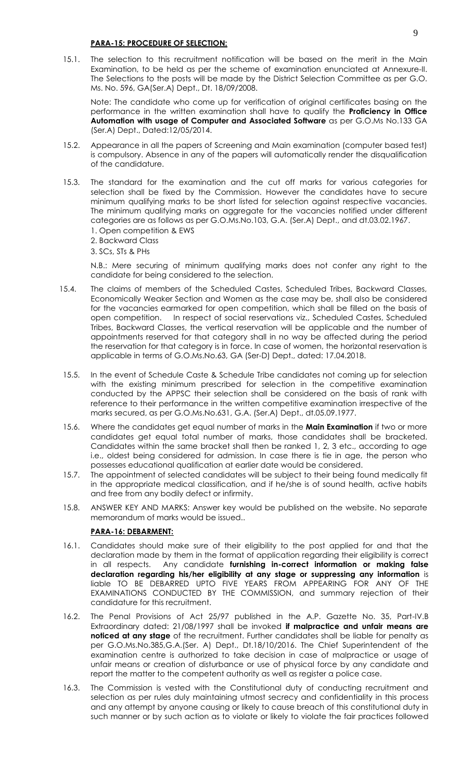#### **PARA-15: PROCEDURE OF SELECTION:**

15.1. The selection to this recruitment notification will be based on the merit in the Main Examination, to be held as per the scheme of examination enunciated at Annexure-II. The Selections to the posts will be made by the District Selection Committee as per G.O. Ms. No. 596, GA(Ser.A) Dept., Dt. 18/09/2008.

Note: The candidate who come up for verification of original certificates basing on the performance in the written examination shall have to qualify the **Proficiency in Office Automation with usage of Computer and Associated Software** as per G.O.Ms No.133 GA (Ser.A) Dept., Dated:12/05/2014.

- 15.2. Appearance in all the papers of Screening and Main examination (computer based test) is compulsory. Absence in any of the papers will automatically render the disqualification of the candidature.
- 15.3. The standard for the examination and the cut off marks for various categories for selection shall be fixed by the Commission. However the candidates have to secure minimum qualifying marks to be short listed for selection against respective vacancies. The minimum qualifying marks on aggregate for the vacancies notified under different categories are as follows as per G.O.Ms.No.103, G.A. (Ser.A) Dept., and dt.03.02.1967.
	- 1. Open competition & EWS
	- 2. Backward Class

3. SCs, STs & PHs 30% and 30% and 30% and 30% and 30% and 30% and 30% and 30% and 30% and 30% and 30% and 30% and 30% and 30% and 30% and 30% and 30% and 30% and 30% and 30% and 30% and 30% and 30% and 30% and 30% and 30%

N.B.: Mere securing of minimum qualifying marks does not confer any right to the candidate for being considered to the selection.

- 15.4. The claims of members of the Scheduled Castes, Scheduled Tribes, Backward Classes, Economically Weaker Section and Women as the case may be, shall also be considered for the vacancies earmarked for open competition, which shall be filled on the basis of open competition. In respect of social reservations viz., Scheduled Castes, Scheduled Tribes, Backward Classes, the vertical reservation will be applicable and the number of appointments reserved for that category shall in no way be affected during the period the reservation for that category is in force. In case of women, the horizontal reservation is applicable in terms of G.O.Ms.No.63, GA (Ser-D) Dept., dated: 17.04.2018.
- 15.5. In the event of Schedule Caste & Schedule Tribe candidates not coming up for selection with the existing minimum prescribed for selection in the competitive examination conducted by the APPSC their selection shall be considered on the basis of rank with reference to their performance in the written competitive examination irrespective of the marks secured, as per G.O.Ms.No.631, G.A. (Ser.A) Dept., dt.05.09.1977.
- 15.6. Where the candidates get equal number of marks in the **Main Examination** if two or more candidates get equal total number of marks, those candidates shall be bracketed. Candidates within the same bracket shall then be ranked 1, 2, 3 etc., according to age i.e., oldest being considered for admission. In case there is tie in age, the person who possesses educational qualification at earlier date would be considered.
- 15.7. The appointment of selected candidates will be subject to their being found medically fit in the appropriate medical classification, and if he/she is of sound health, active habits and free from any bodily defect or infirmity.
- 15.8. ANSWER KEY AND MARKS: Answer key would be published on the website. No separate memorandum of marks would be issued..

#### **PARA-16: DEBARMENT:**

- 16.1. Candidates should make sure of their eligibility to the post applied for and that the declaration made by them in the format of application regarding their eligibility is correct in all respects. Any candidate **furnishing in-correct information or making false declaration regarding his/her eligibility at any stage or suppressing any information** is liable TO BE DEBARRED UPTO FIVE YEARS FROM APPEARING FOR ANY OF THE EXAMINATIONS CONDUCTED BY THE COMMISSION, and summary rejection of their candidature for this recruitment.
- 16.2. The Penal Provisions of Act 25/97 published in the A.P. Gazette No. 35, Part-IV.B Extraordinary dated: 21/08/1997 shall be invoked **if malpractice and unfair means are noticed at any stage** of the recruitment. Further candidates shall be liable for penalty as per G.O.Ms.No.385,G.A.(Ser. A) Dept., Dt.18/10/2016. The Chief Superintendent of the examination centre is authorized to take decision in case of malpractice or usage of unfair means or creation of disturbance or use of physical force by any candidate and report the matter to the competent authority as well as register a police case.
- 16.3. The Commission is vested with the Constitutional duty of conducting recruitment and selection as per rules duly maintaining utmost secrecy and confidentiality in this process and any attempt by anyone causing or likely to cause breach of this constitutional duty in such manner or by such action as to violate or likely to violate the fair practices followed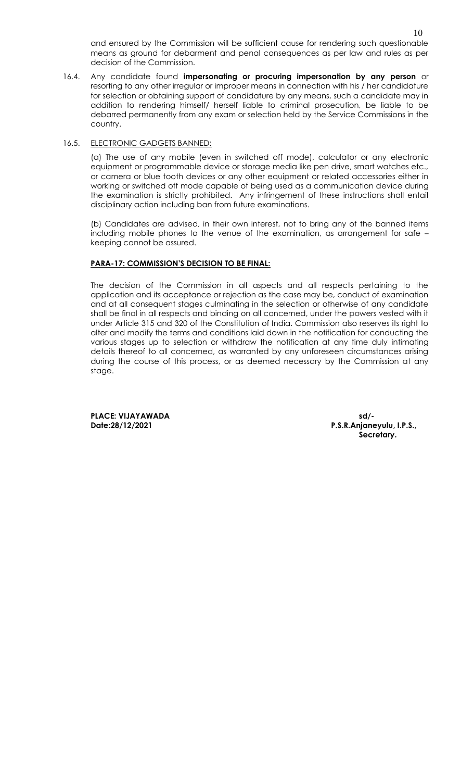and ensured by the Commission will be sufficient cause for rendering such questionable means as ground for debarment and penal consequences as per law and rules as per decision of the Commission.

16.4. Any candidate found **impersonating or procuring impersonation by any person** or resorting to any other irregular or improper means in connection with his / her candidature for selection or obtaining support of candidature by any means, such a candidate may in addition to rendering himself/ herself liable to criminal prosecution, be liable to be debarred permanently from any exam or selection held by the Service Commissions in the country.

#### 16.5. ELECTRONIC GADGETS BANNED:

(a) The use of any mobile (even in switched off mode), calculator or any electronic equipment or programmable device or storage media like pen drive, smart watches etc., or camera or blue tooth devices or any other equipment or related accessories either in working or switched off mode capable of being used as a communication device during the examination is strictly prohibited. Any infringement of these instructions shall entail disciplinary action including ban from future examinations.

(b) Candidates are advised, in their own interest, not to bring any of the banned items including mobile phones to the venue of the examination, as arrangement for safe – keeping cannot be assured.

### **PARA-17: COMMISSION'S DECISION TO BE FINAL:**

The decision of the Commission in all aspects and all respects pertaining to the application and its acceptance or rejection as the case may be, conduct of examination and at all consequent stages culminating in the selection or otherwise of any candidate shall be final in all respects and binding on all concerned, under the powers vested with it under Article 315 and 320 of the Constitution of India. Commission also reserves its right to alter and modify the terms and conditions laid down in the notification for conducting the various stages up to selection or withdraw the notification at any time duly intimating details thereof to all concerned, as warranted by any unforeseen circumstances arising during the course of this process, or as deemed necessary by the Commission at any stage.

**PLACE: VIJAYAWADA sd/-**

**Date:28/12/2021 P.S.R.Anjaneyulu, I.P.S., Secretary.**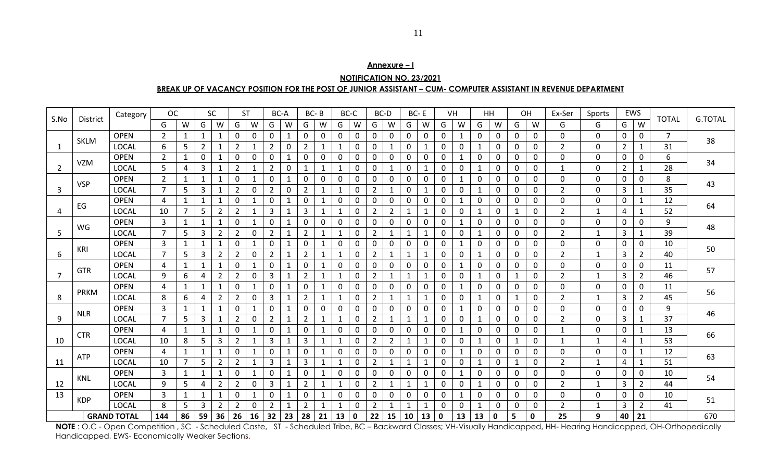| Annexure – I                                                                                                  |
|---------------------------------------------------------------------------------------------------------------|
| <b>NOTIFICATION NO. 23/2021</b>                                                                               |
| BREAK UP OF VACANCY POSITION FOR THE POST OF JUNIOR ASSISTANT – CUM- COMPUTER ASSISTANT IN REVENUE DEPARTMENT |

| S.No           | District    | Category           | <b>OC</b>      |                |                | <b>SC</b>      |                | <b>ST</b>    | BC-A           |              |                | BC-B         |    | BC-C         |                | BC-D           |              | BC-E         |             | VH           |              | HH |              | OH           | Ex-Ser         | Sports       |                | EWS            | <b>TOTAL</b>    | <b>G.TOTAL</b> |
|----------------|-------------|--------------------|----------------|----------------|----------------|----------------|----------------|--------------|----------------|--------------|----------------|--------------|----|--------------|----------------|----------------|--------------|--------------|-------------|--------------|--------------|----|--------------|--------------|----------------|--------------|----------------|----------------|-----------------|----------------|
|                |             |                    | G              | W              | G              | W              | G              | W            | G              | W            | G              | W            | G  | W            | G              | W              | G            | W            | G           | W            | G            | W  | G            | W            | G              | G            | G              | W              |                 |                |
|                | <b>SKLM</b> | <b>OPEN</b>        | $\overline{2}$ | $\mathbf{1}$   | $\mathbf{1}$   | $\mathbf{1}$   | 0              | 0            | 0              | $\mathbf{1}$ | 0              | 0            | 0  | 0            | 0              | 0              | 0            | $\mathbf 0$  | $\mathbf 0$ | 1            | 0            | 0  | 0            | 0            | 0              | 0            | 0              | 0              | $\overline{7}$  | 38             |
| -1             |             | <b>LOCAL</b>       | 6              | 5              | $\overline{2}$ | $\mathbf{1}$   | $\overline{2}$ | -1           | $\overline{2}$ | 0            | $\overline{2}$ |              |    | 0            | $\Omega$       | 1              | 0            | $\mathbf{1}$ | 0           | 0            | $\mathbf{1}$ | 0  | 0            | 0            | $\overline{2}$ | 0            | 2              | $\mathbf{1}$   | 31              |                |
|                | <b>VZM</b>  | <b>OPEN</b>        | $\overline{2}$ | $\mathbf 1$    | 0              | 1              | 0              | 0            | 0              | $\mathbf{1}$ | 0              | 0            | 0  | 0            | $\Omega$       | 0              | 0            | $\mathbf 0$  | $\mathbf 0$ |              | 0            | 0  | 0            | 0            | 0              | 0            | 0              | $\mathbf 0$    | 6               | 34             |
| $\overline{2}$ |             | <b>LOCAL</b>       | 5              | 4              | 3              | 1              | $\overline{2}$ | $\mathbf{1}$ | $\overline{2}$ | 0            | $\mathbf{1}$   | 1            | 1  | 0            | 0              | $\mathbf 1$    | 0            | 1            | 0           | 0            | 1            | 0  | 0            | 0            | 1              | 0            | $\overline{2}$ | $\mathbf{1}$   | 28              |                |
|                | <b>VSP</b>  | <b>OPEN</b>        | $\overline{2}$ | $\mathbf 1$    |                | 1              | 0              | 1            | 0              | $\mathbf{1}$ | 0              | 0            | 0  | 0            | 0              | 0              | 0            | 0            | 0           | 1            | 0            | 0  | 0            | 0            | 0              | 0            | 0              | 0              | 8               | 43             |
| 3              |             | <b>LOCAL</b>       | $\overline{7}$ | 5              | 3              | 1              | $\overline{2}$ | $\mathbf 0$  | $\overline{2}$ | 0            | $\overline{2}$ | $\mathbf{1}$ | 1  | 0            | $\overline{2}$ | 1              | 0            | $\mathbf{1}$ | $\mathbf 0$ | 0            | $\mathbf{1}$ | 0  | 0            | 0            | $\overline{2}$ | 0            | 3              | $\mathbf{1}$   | 35              |                |
|                | EG          | <b>OPEN</b>        | 4              | $\mathbf{1}$   | 1              | 1              | 0              | 1            | 0              | 1            | $\mathbf 0$    | 1            | 0  | 0            | $\mathbf{0}$   | 0              | 0            | $\mathbf 0$  | $\mathbf 0$ | 1            | 0            | 0  | 0            | 0            | 0              | 0            | 0              | $\mathbf{1}$   | 12              | 64             |
| $\overline{4}$ |             | <b>LOCAL</b>       | 10             | $\overline{7}$ | 5              | $\overline{2}$ | 2              | 1            | 3              | $\mathbf{1}$ | 3              | 1            | 1  | 0            | $\overline{2}$ | $\overline{2}$ | $\mathbf{1}$ | $\mathbf{1}$ | 0           | 0            | $\mathbf{1}$ | 0  | 1            | 0            | $\overline{2}$ | $\mathbf{1}$ | 4              | $\mathbf{1}$   | 52              |                |
|                | WG          | <b>OPEN</b>        | 3              | $\mathbf{1}$   |                | 1              | 0              | 1            | $\mathbf{0}$   |              | 0              | 0            | 0  | 0            | 0              | 0              | 0            | 0            | 0           |              | 0            | 0  | 0            | 0            | 0              | 0            | 0              | 0              | 9               | 48             |
| 5              |             | LOCAL              | $\overline{7}$ | 5              | $\overline{3}$ | $\overline{2}$ | $\overline{2}$ | $\mathbf 0$  | $\overline{2}$ | $\mathbf{1}$ | $\overline{2}$ |              | 1  | $\Omega$     | $\overline{2}$ | -1             | 1            | $\mathbf{1}$ | $\mathbf 0$ | $\mathbf 0$  | $\mathbf{1}$ | 0  | 0            | 0            | $\overline{2}$ | $\mathbf{1}$ | 3              | $\mathbf{1}$   | 39              |                |
|                | KRI         | <b>OPEN</b>        | $\overline{3}$ | 1              |                | $\mathbf{1}$   | 0              | -1           | $\mathbf 0$    | $\mathbf{1}$ | $\mathbf 0$    |              | 0  | $\Omega$     | $\Omega$       | 0              | 0            | $\mathbf 0$  | $\mathbf 0$ | 1            | 0            | 0  | 0            | 0            | 0              | 0            | 0              | $\mathbf 0$    | 10              | 50             |
| 6              |             | <b>LOCAL</b>       | $\overline{7}$ | 5              | 3              | 2              | 2              | 0            | 2              | $\mathbf{1}$ | $\overline{2}$ | $\mathbf{1}$ | 1  | 0            | $\overline{2}$ | $\mathbf{1}$   | $\mathbf{1}$ | $\mathbf{1}$ | 0           | 0            | $\mathbf{1}$ | 0  | 0            | 0            | $\overline{2}$ | $\mathbf{1}$ | 3              | $\overline{2}$ | 40              |                |
|                | <b>GTR</b>  | <b>OPEN</b>        | 4              | $\mathbf 1$    |                | $\mathbf{1}$   | 0              |              | 0              |              | $\mathbf 0$    |              | 0  | 0            | 0              | 0              | 0            | 0            | 0           | 1            | 0            | 0  | 0            | 0            | 0              | 0            | 0              | $\mathbf 0$    | 11              | 57             |
| $\overline{7}$ |             | <b>LOCAL</b>       | 9              | 6              | 4              | $\overline{2}$ | $\overline{2}$ | 0            | 3              | $\mathbf{1}$ | $\overline{2}$ |              |    | $\Omega$     | $\overline{2}$ | $\mathbf 1$    | 1            | $\mathbf{1}$ | $\pmb{0}$   | $\mathbf 0$  | 1            | 0  | 1            | 0            | $\overline{2}$ | $\mathbf{1}$ | 3              | $\overline{2}$ | 46              |                |
|                | <b>PRKM</b> | <b>OPEN</b>        | 4              | $\mathbf{1}$   |                | 1              | 0              | 1            | $\mathbf 0$    | $\mathbf{1}$ | $\mathbf 0$    | 1            | 0  | $\mathbf{0}$ | 0              | 0              | 0            | $\mathbf 0$  | $\mathbf 0$ | 1            | 0            | 0  | 0            | 0            | 0              | 0            | 0              | $\mathbf 0$    | 11              | 56             |
| 8              |             | <b>LOCAL</b>       | 8              | 6              | 4              | $\overline{2}$ | 2              | 0            | 3              | $\mathbf{1}$ | $\overline{2}$ | 1            |    | 0            | $\overline{2}$ | -1             | 1            | $\mathbf{1}$ | $\mathbf 0$ | 0            | $\mathbf{1}$ | 0  | $\mathbf{1}$ | 0            | $\overline{2}$ | 1            | 3              | $\overline{2}$ | 45              |                |
|                | <b>NLR</b>  | <b>OPEN</b>        | 3              | 1              | 1              | $\mathbf{1}$   | 0              | 1            | $\mathbf{0}$   | 1            | 0              | 0            | 0  | 0            | 0              | 0              | 0            | 0            | 0           | 1            | 0            | 0  | 0            | $\mathbf{0}$ | 0              | $\Omega$     | 0              | 0              | 9               | 46             |
| 9              |             | LOCAL              | $\overline{7}$ | 5              | $\overline{3}$ | $\mathbf{1}$   | $\overline{2}$ | $\mathbf 0$  | $\overline{2}$ | 1            | $\overline{2}$ | 1            |    | $\Omega$     | $\overline{2}$ | 1              | 1            | $\mathbf{1}$ | $\mathbf 0$ | $\mathbf{0}$ | $\mathbf{1}$ | 0  | 0            | 0            | $\overline{2}$ | $\Omega$     | 3              | $\mathbf{1}$   | $\overline{37}$ |                |
|                | <b>CTR</b>  | <b>OPEN</b>        | 4              | $\mathbf{1}$   | 1              | 1              | 0              | $\mathbf{1}$ | 0              | $\mathbf{1}$ | $\mathbf 0$    |              | 0  | 0            | 0              | 0              | 0            | $\mathbf 0$  | 0           | 1            | 0            | 0  | 0            | 0            | 1              | 0            | 0              | $\mathbf{1}$   | 13              | 66             |
| 10             |             | <b>LOCAL</b>       | 10             | 8              | 5              | 3              | 2              | -1           | 3              | $\mathbf 1$  | 3              |              | 1  | 0            | $\overline{2}$ | $\overline{2}$ | 1            | $\mathbf{1}$ | 0           | 0            | 1            | 0  | 1            | 0            | 1              | 1            | 4              | $\mathbf{1}$   | 53              |                |
|                | <b>ATP</b>  | <b>OPEN</b>        | 4              | $\mathbf{1}$   |                | $\mathbf{1}$   | 0              | $\mathbf 1$  | $\mathbf 0$    | $\mathbf{1}$ | $\mathbf 0$    | 1            | 0  | 0            | $\Omega$       | 0              | 0            | $\mathbf 0$  | $\mathbf 0$ | 1            | 0            | 0  | 0            | 0            | 0              | $\mathbf{0}$ | 0              | $\mathbf{1}$   | 12              | 63             |
| 11             |             | <b>LOCAL</b>       | 10             | $\overline{7}$ | 5              | $\overline{2}$ | $\overline{2}$ | $\mathbf{1}$ | 3              | $\mathbf{1}$ | 3              |              |    | $\mathbf{0}$ | $\overline{2}$ | $\mathbf{1}$   | 1            | $\mathbf{1}$ | $\mathbf 0$ | 0            | $\mathbf{1}$ | 0  | 1            | 0            | $\overline{2}$ | 1            | 4              | $\mathbf{1}$   | 51              |                |
|                | KNL         | <b>OPEN</b>        | 3              | $\mathbf 1$    |                | $\mathbf{1}$   | 0              | $\mathbf 1$  | $\mathbf 0$    | $\mathbf{1}$ | 0              |              | 0  | 0            | 0              | 0              | 0            | 0            | 0           | 1            | 0            | 0  | 0            | 0            | 0              | 0            | 0              | 0              | 10              | 54             |
| 12             |             | <b>LOCAL</b>       | 9              | 5              | 4              | $\overline{2}$ | $\overline{2}$ | $\mathbf 0$  | 3              | $\mathbf{1}$ | $\overline{2}$ |              | 1  | $\mathbf 0$  | $\overline{2}$ | 1              | 1            | $\mathbf{1}$ | $\mathbf 0$ | $\mathbf 0$  | 1            | 0  | 0            | 0            | $\overline{2}$ | 1            | 3              | $\overline{2}$ | 44              |                |
| 13             | <b>KDP</b>  | <b>OPEN</b>        | 3              | $\mathbf{1}$   | 1              | 1              | 0              | 1            | 0              | $\mathbf{1}$ | $\mathbf 0$    | 1            | 0  | 0            | 0              | 0              | 0            | $\mathbf 0$  | $\mathbf 0$ | 1            | 0            | 0  | 0            | 0            | 0              | 0            | 0              | $\mathbf 0$    | 10              | 51             |
|                |             | <b>LOCAL</b>       | 8              | 5              | 3              | $\overline{2}$ | $\overline{2}$ | 0            | $\overline{2}$ | $\mathbf{1}$ | $\overline{2}$ | $\mathbf{1}$ | 1  | 0            | $\overline{2}$ | $\mathbf 1$    | $\mathbf{1}$ | $\mathbf{1}$ | 0           | 0            | 1            | 0  | 0            | 0            | $\overline{2}$ | $\mathbf{1}$ | 3              | $\overline{2}$ | 41              |                |
|                |             | <b>GRAND TOTAL</b> | 144            | 86             | 59             | 36             | 26             | 16           | 32             | 23           | 28             | 21           | 13 | 0            | 22             | 15             | 10           | 13           | 0           | 13           | 13           | 0  | 5            | 0            | 25             | 9            | 40             | 21             |                 | 670            |

**NOTE** : O.C - Open Competition , SC - Scheduled Caste, ST - Scheduled Tribe, BC – Backward Classes; VH-Visually Handicapped, HH- Hearing Handicapped, OH-Orthopedically Handicapped, EWS- Economically Weaker Sections.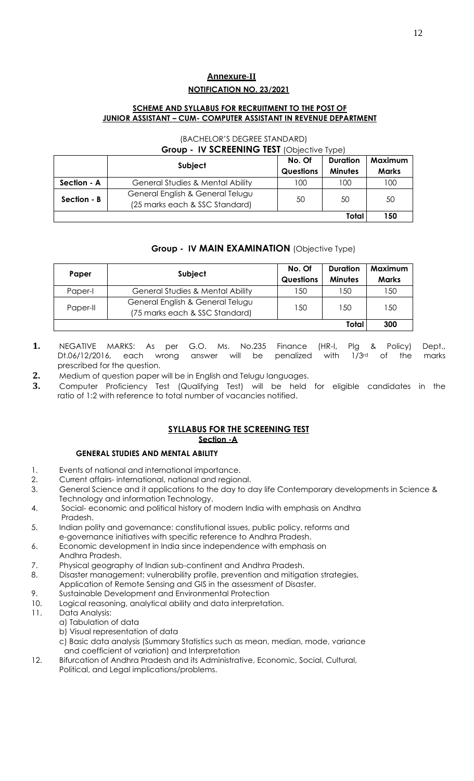# **Annexure-II NOTIFICATION NO. 23/2021**

# **SCHEME AND SYLLABUS FOR RECRUITMENT TO THE POST OF JUNIOR ASSISTANT – CUM- COMPUTER ASSISTANT IN REVENUE DEPARTMENT**

#### (BACHELOR'S DEGREE STANDARD) **Group - IV SCREENING TEST** (Objective Type)

|             | – – – –<br><b>IF SUILLERING ILSI (ODICCITYC TYPU)</b>              |                  |                 |              |
|-------------|--------------------------------------------------------------------|------------------|-----------------|--------------|
|             |                                                                    | No. Of           | <b>Duration</b> | Maximum      |
|             | Subject                                                            | <b>Questions</b> | <b>Minutes</b>  | <b>Marks</b> |
| Section - A | General Studies & Mental Ability                                   | 100              | 100             | 100          |
| Section - B | General English & General Telugu<br>(25 marks each & SSC Standard) | 50               | 50              | 50           |
|             |                                                                    |                  | Total           | 150          |

# **Group - IV MAIN EXAMINATION** (Objective Type)

| Paper    | Subject                                                            | No. Of<br><b>Questions</b> | <b>Duration</b><br><b>Minutes</b> | Maximum<br><b>Marks</b> |
|----------|--------------------------------------------------------------------|----------------------------|-----------------------------------|-------------------------|
| Paper-I  | General Studies & Mental Ability                                   | 150                        | 150                               | 150                     |
| Paper-II | General English & General Telugu<br>(75 marks each & SSC Standard) | 150                        | 150                               | 150                     |
|          |                                                                    |                            | Total                             | 300                     |

- **1.** NEGATIVE MARKS: As per G.O. Ms. No.235 Finance (HR-I, Plg & Policy) Dept., Dt.06/12/2016, each wrong answer will be penalized with 1/3rd of the marks prescribed for the question.
- **2.** Medium of question paper will be in English and Telugu languages.
- **3.** Computer Proficiency Test (Qualifying Test) will be held for eligible candidates in the ratio of 1:2 with reference to total number of vacancies notified.

# **SYLLABUS FOR THE SCREENING TEST**

# **Section -A**

# **GENERAL STUDIES AND MENTAL ABILITY**

- 1. Events of national and international importance.
- 2. Current affairs- international, national and regional.
- 3. General Science and it applications to the day to day life Contemporary developments in Science & Technology and information Technology.
- 4. Social- economic and political history of modern India with emphasis on Andhra Pradesh.
- 5. Indian polity and governance: constitutional issues, public policy, reforms and e-governance initiatives with specific reference to Andhra Pradesh.
- 6. Economic development in India since independence with emphasis on
- Andhra Pradesh.
- 7. Physical geography of Indian sub-continent and Andhra Pradesh.
- 8. Disaster management: vulnerability profile, prevention and mitigation strategies, Application of Remote Sensing and GIS in the assessment of Disaster.
- 9. Sustainable Development and Environmental Protection
- 10. Logical reasoning, analytical ability and data interpretation.
- 11. Data Analysis:
	- a) Tabulation of data
	- b) Visual representation of data
	- c) Basic data analysis (Summary Statistics such as mean, median, mode, variance and coefficient of variation) and Interpretation
- 12. Bifurcation of Andhra Pradesh and its Administrative, Economic, Social, Cultural, Political, and Legal implications/problems.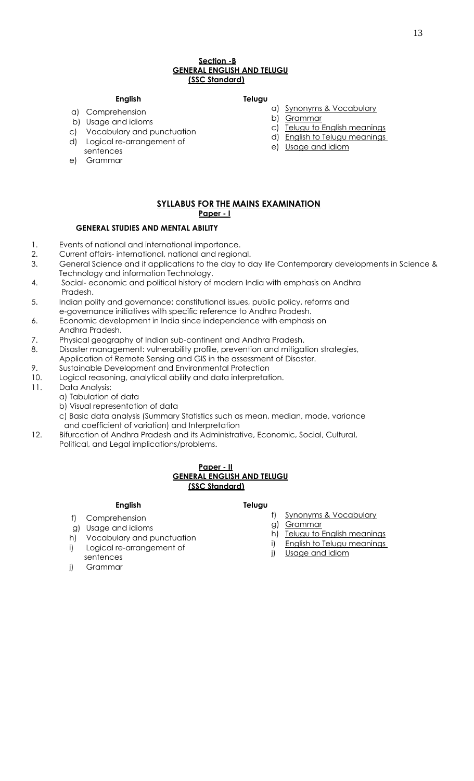#### **Section -B GENERAL ENGLISH AND TELUGU (SSC Standard)**

#### **English Telugu**

- a) Comprehension
- b) Usage and idioms
- c) Vocabulary and punctuation
- d) Logical re-arrangement of
- sentences
- a) Synonyms & Vocabulary
	- b) Grammar
	-
	- c) Telugu to English meanings
	- d) English to Telugu meanings
	- e) Usage and idiom

e) Grammar

#### **SYLLABUS FOR THE MAINS EXAMINATION Paper - I**

#### **GENERAL STUDIES AND MENTAL ABILITY**

- 1. Events of national and international importance.
- 2. Current affairs- international, national and regional.
- 3. General Science and it applications to the day to day life Contemporary developments in Science & Technology and information Technology.
- 4. Social- economic and political history of modern India with emphasis on Andhra Pradesh.
- 5. Indian polity and governance: constitutional issues, public policy, reforms and e-governance initiatives with specific reference to Andhra Pradesh.
- 6. Economic development in India since independence with emphasis on
- Andhra Pradesh.
- 7. Physical geography of Indian sub-continent and Andhra Pradesh.
- 8. Disaster management: vulnerability profile, prevention and mitigation strategies,
- Application of Remote Sensing and GIS in the assessment of Disaster.
- 9. Sustainable Development and Environmental Protection
- 10. Logical reasoning, analytical ability and data interpretation.
- 11. Data Analysis:
	- a) Tabulation of data
	- b) Visual representation of data
	- c) Basic data analysis (Summary Statistics such as mean, median, mode, variance and coefficient of variation) and Interpretation
- 12. Bifurcation of Andhra Pradesh and its Administrative, Economic, Social, Cultural, Political, and Legal implications/problems.

#### **Paper - II GENERAL ENGLISH AND TELUGU (SSC Standard)**

#### **English Telugu**

- f) Comprehension
- g) Usage and idioms
- h) Vocabulary and punctuation
- i) Logical re-arrangement of
- g) <u>Grammar</u> h) Telugu to English meanings
- 

f) Synonyms & Vocabulary

- j) Grammar
- sentences
- 
- 
- 

# i) English to Telugu meanings

j) Usage and idiom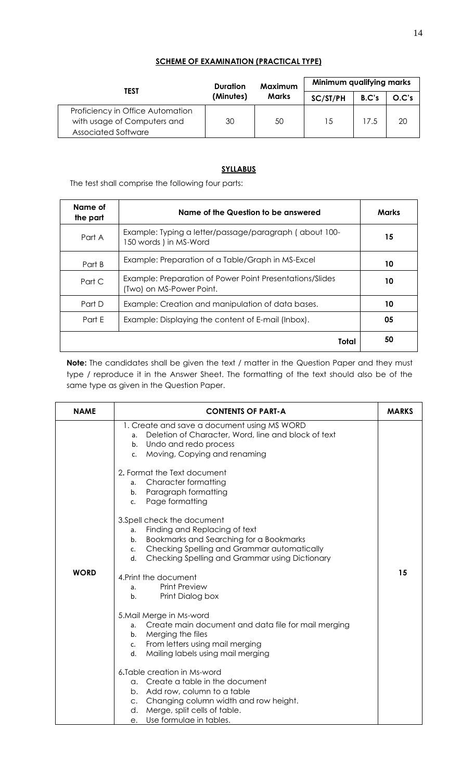# **SCHEME OF EXAMINATION (PRACTICAL TYPE)**

| TEST                                                                                          | Duration  | Maximum      | Minimum qualifying marks |       |       |  |  |  |
|-----------------------------------------------------------------------------------------------|-----------|--------------|--------------------------|-------|-------|--|--|--|
|                                                                                               | (Minutes) | <b>Marks</b> | SC/ST/PH                 | B.C's | O.C's |  |  |  |
| Proficiency in Office Automation<br>with usage of Computers and<br><b>Associated Software</b> | 30        | 50           | 15                       | 17.5  | 20    |  |  |  |

# **SYLLABUS**

The test shall comprise the following four parts:

| Name of<br>the part | Name of the Question to be answered                                                  | <b>Marks</b> |
|---------------------|--------------------------------------------------------------------------------------|--------------|
| Part A              | Example: Typing a letter/passage/paragraph (about 100-<br>150 words ) in MS-Word     | 15           |
| Part B              | Example: Preparation of a Table/Graph in MS-Excel                                    | 10           |
| Part C              | Example: Preparation of Power Point Presentations/Slides<br>(Two) on MS-Power Point. | 10           |
| Part D              | Example: Creation and manipulation of data bases.                                    | 10           |
| Part F              | Example: Displaying the content of E-mail (Inbox).                                   | 05           |
|                     | Total                                                                                | 50           |

**Note:** The candidates shall be given the text / matter in the Question Paper and they must type / reproduce it in the Answer Sheet. The formatting of the text should also be of the same type as given in the Question Paper.

| <b>NAME</b> | <b>CONTENTS OF PART-A</b>                                                                                                                                                                                                                                                                                                                                                                                                                                                                                                                                                                                      | <b>MARKS</b> |
|-------------|----------------------------------------------------------------------------------------------------------------------------------------------------------------------------------------------------------------------------------------------------------------------------------------------------------------------------------------------------------------------------------------------------------------------------------------------------------------------------------------------------------------------------------------------------------------------------------------------------------------|--------------|
| <b>WORD</b> | 1. Create and save a document using MS WORD<br>Deletion of Character, Word, line and block of text<br>a.<br>Undo and redo process<br>b.<br>Moving, Copying and renaming<br>c.<br>2. Format the Text document<br><b>Character formatting</b><br>a.<br>Paragraph formatting<br>b.<br>Page formatting<br>C <sub>1</sub><br>3.Spell check the document<br>Finding and Replacing of text<br>a.<br>Bookmarks and Searching for a Bookmarks<br>b.<br>Checking Spelling and Grammar automatically<br>c.<br>Checking Spelling and Grammar using Dictionary<br>d.<br>4. Print the document<br><b>Print Preview</b><br>a. | 15           |
|             | Print Dialog box<br>b <sub>1</sub><br>5. Mail Merge in Ms-word<br>Create main document and data file for mail merging<br>a.<br>Merging the files<br>b.<br>From letters using mail merging<br>c.<br>Mailing labels using mail merging<br>d.<br>6. Table creation in Ms-word<br>a. Create a table in the document<br>b. Add row, column to a table<br>c. Changing column width and row height.<br>Merge, split cells of table.<br>d.<br>Use formulae in tables.<br>е.                                                                                                                                            |              |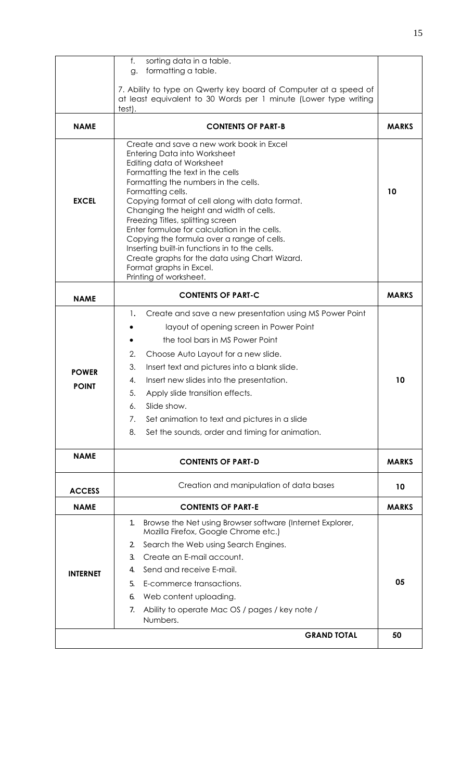|                              | f.<br>sorting data in a table.<br>formatting a table.<br>g.                                                                                                                                                                                                                                                                                                                                                                                                                                                                                                                                           |              |
|------------------------------|-------------------------------------------------------------------------------------------------------------------------------------------------------------------------------------------------------------------------------------------------------------------------------------------------------------------------------------------------------------------------------------------------------------------------------------------------------------------------------------------------------------------------------------------------------------------------------------------------------|--------------|
|                              | 7. Ability to type on Qwerty key board of Computer at a speed of<br>at least equivalent to 30 Words per 1 minute (Lower type writing<br>test).                                                                                                                                                                                                                                                                                                                                                                                                                                                        |              |
| <b>NAME</b>                  | <b>CONTENTS OF PART-B</b>                                                                                                                                                                                                                                                                                                                                                                                                                                                                                                                                                                             | <b>MARKS</b> |
| <b>EXCEL</b>                 | Create and save a new work book in Excel<br><b>Entering Data into Worksheet</b><br>Editing data of Worksheet<br>Formatting the text in the cells<br>Formatting the numbers in the cells.<br>Formatting cells.<br>Copying format of cell along with data format.<br>Changing the height and width of cells.<br>Freezing Titles, splitting screen<br>Enter formulae for calculation in the cells.<br>Copying the formula over a range of cells.<br>Inserting built-in functions in to the cells.<br>Create graphs for the data using Chart Wizard.<br>Format graphs in Excel.<br>Printing of worksheet. | 10           |
| <b>NAME</b>                  | <b>CONTENTS OF PART-C</b>                                                                                                                                                                                                                                                                                                                                                                                                                                                                                                                                                                             | <b>MARKS</b> |
| <b>POWER</b><br><b>POINT</b> | Create and save a new presentation using MS Power Point<br>1.<br>layout of opening screen in Power Point<br>the tool bars in MS Power Point<br>2.<br>Choose Auto Layout for a new slide.<br>3.<br>Insert text and pictures into a blank slide.<br>4.<br>Insert new slides into the presentation.<br>5.<br>Apply slide transition effects.<br>Slide show.<br>6.<br>Set animation to text and pictures in a slide<br>7.<br>8.<br>Set the sounds, order and timing for animation.                                                                                                                        | 10           |
| <b>NAME</b>                  | <b>CONTENTS OF PART-D</b>                                                                                                                                                                                                                                                                                                                                                                                                                                                                                                                                                                             | <b>MARKS</b> |
| <b>ACCESS</b>                | Creation and manipulation of data bases                                                                                                                                                                                                                                                                                                                                                                                                                                                                                                                                                               | 10           |
| <b>NAME</b>                  | <b>CONTENTS OF PART-E</b>                                                                                                                                                                                                                                                                                                                                                                                                                                                                                                                                                                             | <b>MARKS</b> |
| <b>INTERNET</b>              | Browse the Net using Browser software (Internet Explorer,<br>1.<br>Mozilla Firefox, Google Chrome etc.)<br>Search the Web using Search Engines.<br>2.<br>Create an E-mail account.<br>3.<br>Send and receive E-mail.<br>4.<br>E-commerce transactions.<br>5.<br>Web content uploading.<br>6.<br>Ability to operate Mac OS / pages / key note /<br>7.<br>Numbers.                                                                                                                                                                                                                                      | 05           |
|                              | <b>GRAND TOTAL</b>                                                                                                                                                                                                                                                                                                                                                                                                                                                                                                                                                                                    | 50           |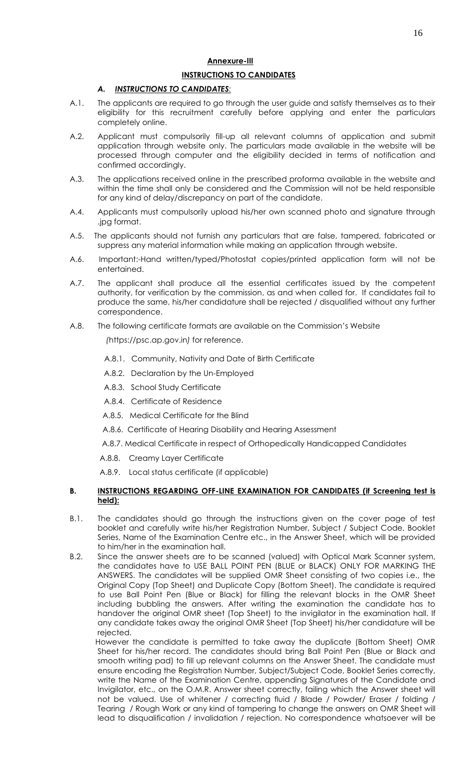#### **INSTRUCTIONS TO CANDIDATES**

# *A. INSTRUCTIONS TO CANDIDATES:*

- A.1. The applicants are required to go through the user guide and satisfy themselves as to their eligibility for this recruitment carefully before applying and enter the particulars completely online.
- A.2. Applicant must compulsorily fill-up all relevant columns of application and submit application through website only. The particulars made available in the website will be processed through computer and the eligibility decided in terms of notification and confirmed accordingly.
- A.3. The applications received online in the prescribed proforma available in the website and within the time shall only be considered and the Commission will not be held responsible for any kind of delay/discrepancy on part of the candidate.
- A.4. Applicants must compulsorily upload his/her own scanned photo and signature through .jpg format.
- A.5. The applicants should not furnish any particulars that are false, tampered, fabricated or suppress any material information while making an application through website.
- A.6. Important:-Hand written/typed/Photostat copies/printed application form will not be entertained.
- A.7. The applicant shall produce all the essential certificates issued by the competent authority, for verification by the commission, as and when called for. If candidates fail to produce the same, his/her candidature shall be rejected / disqualified without any further correspondence.
- A.8. The following certificate formats are available on the Commission's Website

 *(*https://psc.ap.gov.in*)* for reference.

- A.8.1. Community, Nativity and Date of Birth Certificate
- A.8.2. Declaration by the Un-Employed
- A.8.3. School Study Certificate
- A.8.4. Certificate of Residence
- A.8.5. Medical Certificate for the Blind
- A.8.6. Certificate of Hearing Disability and Hearing Assessment
- A.8.7. Medical Certificate in respect of Orthopedically Handicapped Candidates
- A.8.8. Creamy Layer Certificate
- A.8.9. Local status certificate (if applicable)

### **B. INSTRUCTIONS REGARDING OFF-LINE EXAMINATION FOR CANDIDATES (if Screening test is held):**

- B.1. The candidates should go through the instructions given on the cover page of test booklet and carefully write his/her Registration Number, Subject / Subject Code, Booklet Series, Name of the Examination Centre etc., in the Answer Sheet, which will be provided to him/her in the examination hall.
- B.2. Since the answer sheets are to be scanned (valued) with Optical Mark Scanner system, the candidates have to USE BALL POINT PEN (BLUE or BLACK) ONLY FOR MARKING THE ANSWERS. The candidates will be supplied OMR Sheet consisting of two copies i.e., the Original Copy (Top Sheet) and Duplicate Copy (Bottom Sheet). The candidate is required to use Ball Point Pen (Blue or Black) for filling the relevant blocks in the OMR Sheet including bubbling the answers. After writing the examination the candidate has to handover the original OMR sheet (Top Sheet) to the invigilator in the examination hall. If any candidate takes away the original OMR Sheet (Top Sheet) his/her candidature will be rejected.

 However the candidate is permitted to take away the duplicate (Bottom Sheet) OMR Sheet for his/her record. The candidates should bring Ball Point Pen (Blue or Black and smooth writing pad) to fill up relevant columns on the Answer Sheet. The candidate must ensure encoding the Registration Number, Subject/Subject Code, Booklet Series correctly, write the Name of the Examination Centre, appending Signatures of the Candidate and Invigilator, etc., on the O.M.R. Answer sheet correctly, failing which the Answer sheet will not be valued. Use of whitener / correcting fluid / Blade / Powder/ Eraser / folding / Tearing / Rough Work or any kind of tampering to change the answers on OMR Sheet will lead to disqualification / invalidation / rejection. No correspondence whatsoever will be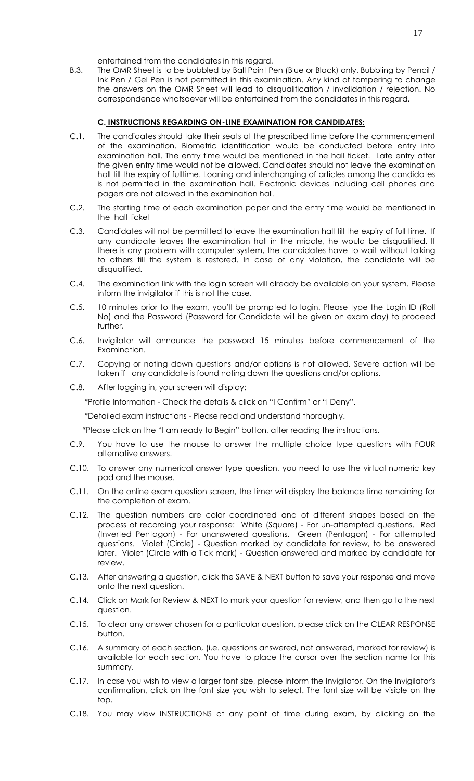entertained from the candidates in this regard.

B.3. The OMR Sheet is to be bubbled by Ball Point Pen (Blue or Black) only. Bubbling by Pencil / Ink Pen / Gel Pen is not permitted in this examination. Any kind of tampering to change the answers on the OMR Sheet will lead to disqualification / invalidation / rejection. No correspondence whatsoever will be entertained from the candidates in this regard.

#### **C. INSTRUCTIONS REGARDING ON-LINE EXAMINATION FOR CANDIDATES:**

- C.1. The candidates should take their seats at the prescribed time before the commencement of the examination. Biometric identification would be conducted before entry into examination hall. The entry time would be mentioned in the hall ticket. Late entry after the given entry time would not be allowed. Candidates should not leave the examination hall till the expiry of fulltime. Loaning and interchanging of articles among the candidates is not permitted in the examination hall. Electronic devices including cell phones and pagers are not allowed in the examination hall.
- C.2. The starting time of each examination paper and the entry time would be mentioned in the hall ticket
- C.3. Candidates will not be permitted to leave the examination hall till the expiry of full time. If any candidate leaves the examination hall in the middle, he would be disqualified. If there is any problem with computer system, the candidates have to wait without talking to others till the system is restored. In case of any violation, the candidate will be disqualified.
- C.4. The examination link with the login screen will already be available on your system. Please inform the invigilator if this is not the case.
- C.5. 10 minutes prior to the exam, you'll be prompted to login. Please type the Login ID (Roll No) and the Password (Password for Candidate will be given on exam day) to proceed further.
- C.6. Invigilator will announce the password 15 minutes before commencement of the Examination.
- C.7. Copying or noting down questions and/or options is not allowed. Severe action will be taken if any candidate is found noting down the questions and/or options.
- C.8. After logging in, your screen will display:

\*Profile Information - Check the details & click on "I Confirm" or "I Deny".

\*Detailed exam instructions - Please read and understand thoroughly.

\*Please click on the "I am ready to Begin" button, after reading the instructions.

- C.9. You have to use the mouse to answer the multiple choice type questions with FOUR alternative answers.
- C.10. To answer any numerical answer type question, you need to use the virtual numeric key pad and the mouse.
- C.11. On the online exam question screen, the timer will display the balance time remaining for the completion of exam.
- C.12. The question numbers are color coordinated and of different shapes based on the process of recording your response: White (Square) - For un-attempted questions. Red (Inverted Pentagon) - For unanswered questions. Green (Pentagon) - For attempted questions. Violet (Circle) - Question marked by candidate for review, to be answered later. Violet (Circle with a Tick mark) - Question answered and marked by candidate for review.
- C.13. After answering a question, click the SAVE & NEXT button to save your response and move onto the next question.
- C.14. Click on Mark for Review & NEXT to mark your question for review, and then go to the next question.
- C.15. To clear any answer chosen for a particular question, please click on the CLEAR RESPONSE button.
- C.16. A summary of each section, (i.e. questions answered, not answered, marked for review) is available for each section. You have to place the cursor over the section name for this summary.
- C.17. In case you wish to view a larger font size, please inform the Invigilator. On the Invigilator's confirmation, click on the font size you wish to select. The font size will be visible on the top.
- C.18. You may view INSTRUCTIONS at any point of time during exam, by clicking on the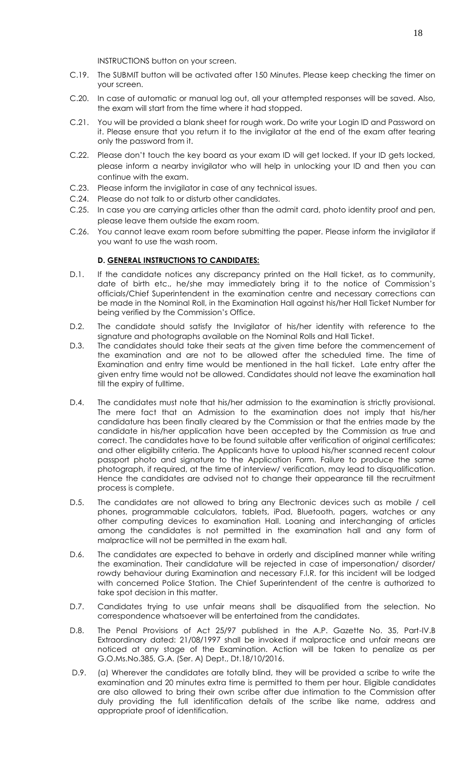INSTRUCTIONS button on your screen.

- C.19. The SUBMIT button will be activated after 150 Minutes. Please keep checking the timer on your screen.
- C.20. In case of automatic or manual log out, all your attempted responses will be saved. Also, the exam will start from the time where it had stopped.
- C.21. You will be provided a blank sheet for rough work. Do write your Login ID and Password on it. Please ensure that you return it to the invigilator at the end of the exam after tearing only the password from it.
- C.22. Please don't touch the key board as your exam ID will get locked. If your ID gets locked, please inform a nearby invigilator who will help in unlocking your ID and then you can continue with the exam.
- C.23. Please inform the invigilator in case of any technical issues.
- C.24. Please do not talk to or disturb other candidates.
- C.25. In case you are carrying articles other than the admit card, photo identity proof and pen, please leave them outside the exam room.
- C.26. You cannot leave exam room before submitting the paper. Please inform the invigilator if you want to use the wash room.

### **D. GENERAL INSTRUCTIONS TO CANDIDATES:**

- D.1. If the candidate notices any discrepancy printed on the Hall ticket, as to community, date of birth etc., he/she may immediately bring it to the notice of Commission's officials/Chief Superintendent in the examination centre and necessary corrections can be made in the Nominal Roll, in the Examination Hall against his/her Hall Ticket Number for being verified by the Commission's Office.
- D.2. The candidate should satisfy the Invigilator of his/her identity with reference to the signature and photographs available on the Nominal Rolls and Hall Ticket.
- D.3. The candidates should take their seats at the given time before the commencement of the examination and are not to be allowed after the scheduled time. The time of Examination and entry time would be mentioned in the hall ticket. Late entry after the given entry time would not be allowed. Candidates should not leave the examination hall till the expiry of fulltime.
- D.4. The candidates must note that his/her admission to the examination is strictly provisional. The mere fact that an Admission to the examination does not imply that his/her candidature has been finally cleared by the Commission or that the entries made by the candidate in his/her application have been accepted by the Commission as true and correct. The candidates have to be found suitable after verification of original certificates; and other eligibility criteria. The Applicants have to upload his/her scanned recent colour passport photo and signature to the Application Form. Failure to produce the same photograph, if required, at the time of interview/ verification, may lead to disqualification. Hence the candidates are advised not to change their appearance till the recruitment process is complete.
- D.5. The candidates are not allowed to bring any Electronic devices such as mobile / cell phones, programmable calculators, tablets, iPad, Bluetooth, pagers, watches or any other computing devices to examination Hall. Loaning and interchanging of articles among the candidates is not permitted in the examination hall and any form of malpractice will not be permitted in the exam hall.
- D.6. The candidates are expected to behave in orderly and disciplined manner while writing the examination. Their candidature will be rejected in case of impersonation/ disorder/ rowdy behaviour during Examination and necessary F.I.R. for this incident will be lodged with concerned Police Station. The Chief Superintendent of the centre is authorized to take spot decision in this matter.
- D.7. Candidates trying to use unfair means shall be disqualified from the selection. No correspondence whatsoever will be entertained from the candidates.
- D.8. The Penal Provisions of Act 25/97 published in the A.P. Gazette No. 35, Part-IV.B Extraordinary dated: 21/08/1997 shall be invoked if malpractice and unfair means are noticed at any stage of the Examination. Action will be taken to penalize as per G.O.Ms.No.385, G.A. (Ser. A) Dept., Dt.18/10/2016.
- D.9. (a) Wherever the candidates are totally blind, they will be provided a scribe to write the examination and 20 minutes extra time is permitted to them per hour. Eligible candidates are also allowed to bring their own scribe after due intimation to the Commission after duly providing the full identification details of the scribe like name, address and appropriate proof of identification.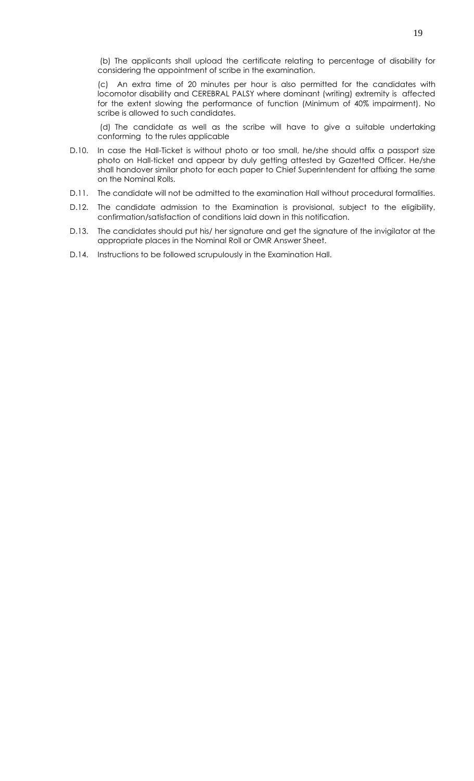(b) The applicants shall upload the certificate relating to percentage of disability for considering the appointment of scribe in the examination.

(c) An extra time of 20 minutes per hour is also permitted for the candidates with locomotor disability and CEREBRAL PALSY where dominant (writing) extremity is affected for the extent slowing the performance of function (Minimum of 40% impairment). No scribe is allowed to such candidates.

(d) The candidate as well as the scribe will have to give a suitable undertaking conforming to the rules applicable

- D.10. In case the Hall-Ticket is without photo or too small, he/she should affix a passport size photo on Hall-ticket and appear by duly getting attested by Gazetted Officer. He/she shall handover similar photo for each paper to Chief Superintendent for affixing the same on the Nominal Rolls.
- D.11. The candidate will not be admitted to the examination Hall without procedural formalities.
- D.12. The candidate admission to the Examination is provisional, subject to the eligibility, confirmation/satisfaction of conditions laid down in this notification.
- D.13. The candidates should put his/ her signature and get the signature of the invigilator at the appropriate places in the Nominal Roll or OMR Answer Sheet.
- D.14. Instructions to be followed scrupulously in the Examination Hall.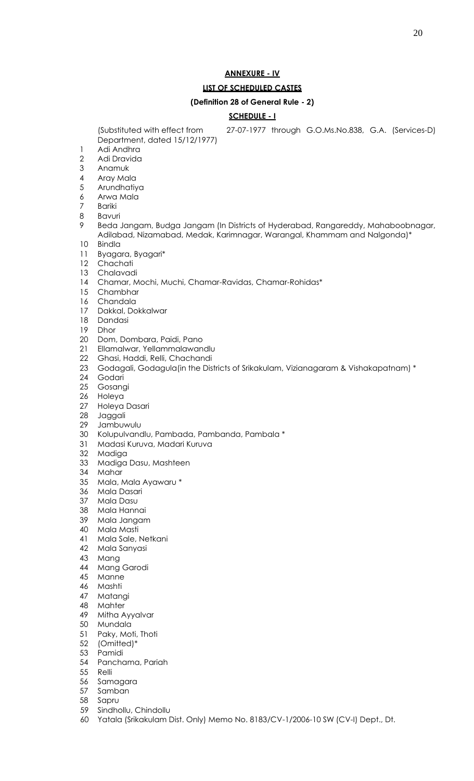# **ANNEXURE - IV**

#### **LIST OF SCHEDULED CASTES**

#### **(Definition 28 of General Rule - 2)**

#### **SCHEDULE - I**

(Substituted with effect from 27-07-1977 through G.O.Ms.No.838, G.A. (Services-D)

- Department, dated 15/12/1977) Adi Andhra
- Adi Dravida
- Anamuk
- Aray Mala
- Arundhatiya
- Arwa Mala
- Bariki
- Bavuri
- Beda Jangam, Budga Jangam (In Districts of Hyderabad, Rangareddy, Mahaboobnagar, Adilabad, Nizamabad, Medak, Karimnagar, Warangal, Khammam and Nalgonda)\*
- Bindla
- Byagara, Byagari\*
- Chachati
- Chalavadi
- Chamar, Mochi, Muchi, Chamar-Ravidas, Chamar-Rohidas\*
- Chambhar
- Chandala
- Dakkal, Dokkalwar
- Dandasi
- Dhor
- Dom, Dombara, Paidi, Pano
- Ellamalwar, Yellammalawandlu
- Ghasi, Haddi, Relli, Chachandi
- Godagali, Godagula(in the Districts of Srikakulam, Vizianagaram & Vishakapatnam) \*
- Godari
- Gosangi
- Holeya
- Holeya Dasari
- Jaggali
- Jambuwulu
- Kolupulvandlu, Pambada, Pambanda, Pambala \*
- Madasi Kuruva, Madari Kuruva
- Madiga
- Madiga Dasu, Mashteen
- Mahar
- Mala, Mala Ayawaru \*
- Mala Dasari
- Mala Dasu
- Mala Hannai
- Mala Jangam
- Mala Masti
- Mala Sale, Netkani
- Mala Sanyasi
- Mang
- Mang Garodi
- Manne
- Mashti
- Matangi
- Mahter
- Mitha Ayyalvar
- Mundala
- Paky, Moti, Thoti
- (Omitted)\*
- Pamidi
- Panchama, Pariah
- Relli
- Samagara
- Samban
- Sapru
- Sindhollu, Chindollu
- Yatala (Srikakulam Dist. Only) Memo No. 8183/CV-1/2006-10 SW (CV-I) Dept., Dt.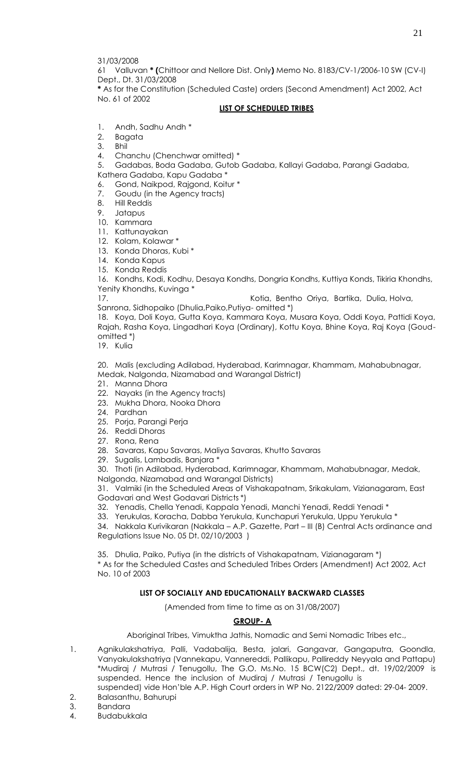31/03/2008

61 Valluvan **\* (**Chittoor and Nellore Dist. Only**)** Memo No. 8183/CV-1/2006-10 SW (CV-I) Dept., Dt. 31/03/2008

**\*** As for the Constitution (Scheduled Caste) orders (Second Amendment) Act 2002, Act No. 61 of 2002

## **LIST OF SCHEDULED TRIBES**

1. Andh, Sadhu Andh \*<br>2. Bagata

2. Bagata

3. Bhil

4. Chanchu (Chenchwar omitted) \*

5. Gadabas, Boda Gadaba, Gutob Gadaba, Kallayi Gadaba, Parangi Gadaba,

Kathera Gadaba, Kapu Gadaba \*

- 6. Gond, Naikpod, Rajgond, Koitur \*
- Goudu (in the Agency tracts)
- 8. Hill Reddis
- 9. Jatapus
- 10. Kammara
- 11. Kattunayakan
- 12. Kolam, Kolawar \*
- 13. Konda Dhoras, Kubi<sup>\*</sup>
- 14. Konda Kapus
- 15. Konda Reddis

16. Kondhs, Kodi, Kodhu, Desaya Kondhs, Dongria Kondhs, Kuttiya Konds, Tikiria Khondhs, Yenity Khondhs, Kuvinga \*

17. Kotia, Bentho Oriya, Bartika, Dulia, Holva, Sanrona, Sidhopaiko (Dhulia,Paiko,Putiya- omitted \*)

18. Koya, Doli Koya, Gutta Koya, Kammara Koya, Musara Koya, Oddi Koya, Pattidi Koya, Rajah, Rasha Koya, Lingadhari Koya (Ordinary), Kottu Koya, Bhine Koya, Raj Koya (Goudomitted \*)

19. Kulia

20. Malis (excluding Adilabad, Hyderabad, Karimnagar, Khammam, Mahabubnagar, Medak, Nalgonda, Nizamabad and Warangal District)

- 21. Manna Dhora
- 22. Nayaks (in the Agency tracts)
- 23. Mukha Dhora, Nooka Dhora
- 24. Pardhan
- 25. Porja, Parangi Perja
- 26. Reddi Dhoras
- 27. Rona, Rena
- 28. Savaras, Kapu Savaras, Maliya Savaras, Khutto Savaras
- 29. Sugalis, Lambadis, Banjara \*

30. Thoti (in Adilabad, Hyderabad, Karimnagar, Khammam, Mahabubnagar, Medak,

Nalgonda, Nizamabad and Warangal Districts)

31. Valmiki (in the Scheduled Areas of Vishakapatnam, Srikakulam, Vizianagaram, East Godavari and West Godavari Districts \*)

32. Yenadis, Chella Yenadi, Kappala Yenadi, Manchi Yenadi, Reddi Yenadi \*

33. Yerukulas, Koracha, Dabba Yerukula, Kunchapuri Yerukula, Uppu Yerukula \*

34. Nakkala Kurivikaran (Nakkala – A.P. Gazette, Part – III (B) Central Acts ordinance and Regulations Issue No. 05 Dt. 02/10/2003 )

35. Dhulia, Paiko, Putiya (in the districts of Vishakapatnam, Vizianagaram \*) \* As for the Scheduled Castes and Scheduled Tribes Orders (Amendment) Act 2002, Act No. 10 of 2003

# **LIST OF SOCIALLY AND EDUCATIONALLY BACKWARD CLASSES**

(Amended from time to time as on 31/08/2007)

# **GROUP- A**

Aboriginal Tribes, Vimuktha Jathis, Nomadic and Semi Nomadic Tribes etc.,

- 1. Agnikulakshatriya, Palli, Vadabalija, Besta, jalari, Gangavar, Gangaputra, Goondla, Vanyakulakshatriya (Vannekapu, Vannereddi, Pallikapu, Pallireddy Neyyala and Pattapu) \*Mudiraj / Mutrasi / Tenugollu, The G.O. Ms.No. 15 BCW(C2) Dept., dt. 19/02/2009 is suspended. Hence the inclusion of Mudiraj / Mutrasi / Tenugollu is
- suspended) vide Hon'ble A.P. High Court orders in WP No. 2122/2009 dated: 29-04- 2009. 2. Balasanthu, Bahurupi
- 3. Bandara
- 4. Budabukkala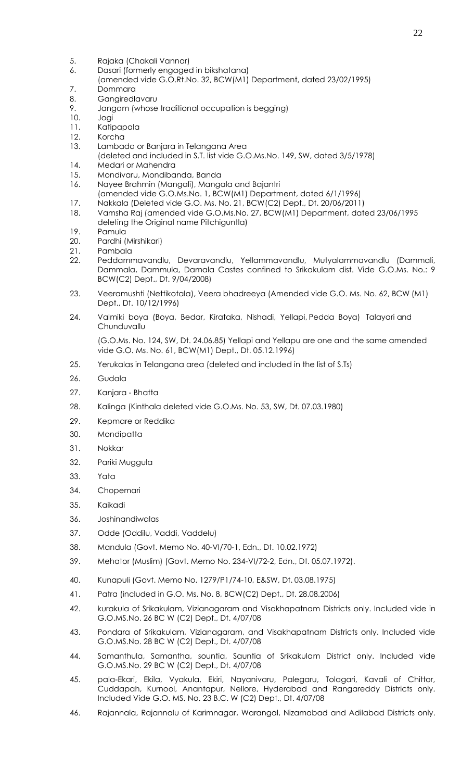- 5. Rajaka (Chakali Vannar)
- 6. Dasari (formerly engaged in bikshatana)
- (amended vide G.O.Rt.No. 32, BCW(M1) Department, dated 23/02/1995)
- 7. Dommara
- 8. Gangiredlavaru
- 9. Jangam (whose traditional occupation is begging)
- 10. Jogi
- 11. Katipapala
- 12. Korcha
- 13. Lambada or Banjara in Telangana Area
- (deleted and included in S.T. list vide G.O.Ms.No. 149, SW, dated 3/5/1978)
- 14. Medari or Mahendra
- 15. Mondivaru, Mondibanda, Banda
- 16. Nayee Brahmin (Mangali), Mangala and Bajantri
- (amended vide G.O.Ms.No. 1, BCW(M1) Department, dated 6/1/1996)
- 17. Nakkala (Deleted vide G.O. Ms. No. 21, BCW(C2) Dept., Dt. 20/06/2011)
- 18. Vamsha Raj (amended vide G.O.Ms.No. 27, BCW(M1) Department, dated 23/06/1995 deleting the Original name Pitchiguntla)
- 19. Pamula
- 20. Pardhi (Mirshikari)
- 21. Pambala
- 22. Peddammavandlu, Devaravandlu, Yellammavandlu, Mutyalammavandlu (Dammali, Dammala, Dammula, Damala Castes confined to Srikakulam dist. Vide G.O.Ms. No.: 9 BCW(C2) Dept., Dt. 9/04/2008)
- 23. Veeramushti (Nettikotala), Veera bhadreeya (Amended vide G.O. Ms. No. 62, BCW (M1) Dept., Dt. 10/12/1996)
- 24. Valmiki boya (Boya, Bedar, Kirataka, Nishadi, Yellapi, Pedda Boya) Talayari and **Chunduvallu**

(G.O.Ms. No. 124, SW, Dt. 24.06.85) Yellapi and Yellapu are one and the same amended vide G.O. Ms. No. 61, BCW(M1) Dept., Dt. 05.12.1996)

- 25. Yerukalas in Telangana area (deleted and included in the list of S.Ts)
- 26. Gudala
- 27. Kanjara Bhatta
- 28. Kalinga (Kinthala deleted vide G.O.Ms. No. 53, SW, Dt. 07.03.1980)
- 29. Kepmare or Reddika
- 30. Mondipatta
- 31. Nokkar
- 32. Pariki Muggula
- 33. Yata
- 34. Chopemari
- 35. Kaikadi
- 36. Joshinandiwalas
- 37. Odde (Oddilu, Vaddi, Vaddelu)
- 38. Mandula (Govt. Memo No. 40-VI/70-1, Edn., Dt. 10.02.1972)
- 39. Mehator (Muslim) (Govt. Memo No. 234-VI/72-2, Edn., Dt. 05.07.1972).
- 40. Kunapuli (Govt. Memo No. 1279/P1/74-10, E&SW, Dt. 03.08.1975)
- 41. Patra (included in G.O. Ms. No. 8, BCW(C2) Dept., Dt. 28.08.2006)
- 42. kurakula of Srikakulam, Vizianagaram and Visakhapatnam Districts only. Included vide in G.O.MS.No. 26 BC W (C2) Dept., Dt. 4/07/08
- 43. Pondara of Srikakulam, Vizianagaram, and Visakhapatnam Districts only. Included vide G.O.MS.No. 28 BC W (C2) Dept., Dt. 4/07/08
- 44. Samanthula, Samantha, sountia, Sauntia of Srikakulam District only. Included vide G.O.MS.No. 29 BC W (C2) Dept., Dt. 4/07/08
- 45. pala-Ekari, Ekila, Vyakula, Ekiri, Nayanivaru, Palegaru, Tolagari, Kavali of Chittor, Cuddapah, Kurnool, Anantapur, Nellore, Hyderabad and Rangareddy Districts only. Included Vide G.O. MS. No. 23 B.C. W (C2) Dept., Dt. 4/07/08
- 46. Rajannala, Rajannalu of Karimnagar, Warangal, Nizamabad and Adilabad Districts only.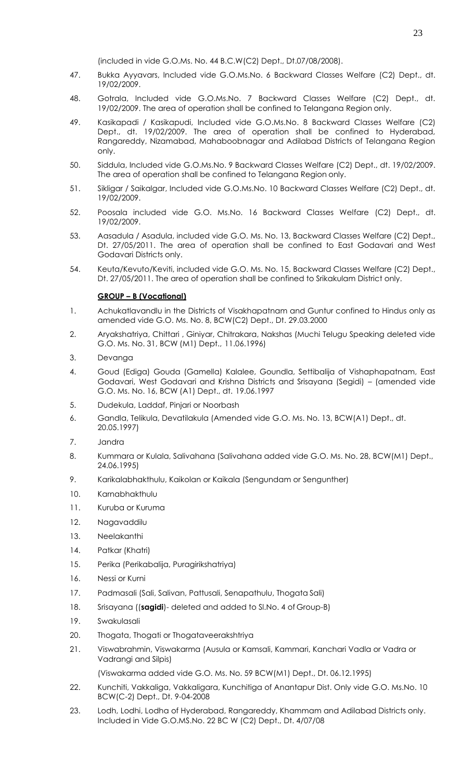(included in vide G.O.Ms. No. 44 B.C.W(C2) Dept., Dt.07/08/2008).

- 47. Bukka Ayyavars, Included vide G.O.Ms.No. 6 Backward Classes Welfare (C2) Dept., dt. 19/02/2009.
- 48. Gotrala, Included vide G.O.Ms.No. 7 Backward Classes Welfare (C2) Dept., dt. 19/02/2009. The area of operation shall be confined to Telangana Region only.
- 49. Kasikapadi / Kasikapudi, Included vide G.O.Ms.No. 8 Backward Classes Welfare (C2) Dept., dt. 19/02/2009. The area of operation shall be confined to Hyderabad, Rangareddy, Nizamabad, Mahaboobnagar and Adilabad Districts of Telangana Region only.
- 50. Siddula, Included vide G.O.Ms.No. 9 Backward Classes Welfare (C2) Dept., dt. 19/02/2009. The area of operation shall be confined to Telangana Region only.
- 51. Sikligar / Saikalgar, Included vide G.O.Ms.No. 10 Backward Classes Welfare (C2) Dept., dt. 19/02/2009.
- 52. Poosala included vide G.O. Ms.No. 16 Backward Classes Welfare (C2) Dept., dt. 19/02/2009.
- 53. Aasadula / Asadula, included vide G.O. Ms. No. 13, Backward Classes Welfare (C2) Dept., Dt. 27/05/2011. The area of operation shall be confined to East Godavari and West Godavari Districts only.
- 54. Keuta/Kevuto/Keviti, included vide G.O. Ms. No. 15, Backward Classes Welfare (C2) Dept., Dt. 27/05/2011. The area of operation shall be confined to Srikakulam District only.

#### **GROUP – B (Vocational)**

- 1. Achukatlavandlu in the Districts of Visakhapatnam and Guntur confined to Hindus only as amended vide G.O. Ms. No. 8, BCW(C2) Dept., Dt. 29.03.2000
- 2. Aryakshatriya, Chittari , Giniyar, Chitrakara, Nakshas (Muchi Telugu Speaking deleted vide G.O. Ms. No. 31, BCW (M1) Dept., 11.06.1996)
- 3. Devanga
- 4. Goud (Ediga) Gouda (Gamella) Kalalee, Goundla, Settibalija of Vishaphapatnam, East Godavari, West Godavari and Krishna Districts and Srisayana (Segidi) – (amended vide G.O. Ms. No. 16, BCW (A1) Dept., dt. 19.06.1997
- 5. Dudekula, Laddaf, Pinjari or Noorbash
- 6. Gandla, Telikula, Devatilakula (Amended vide G.O. Ms. No. 13, BCW(A1) Dept., dt. 20.05.1997)
- 7. Jandra
- 8. Kummara or Kulala, Salivahana (Salivahana added vide G.O. Ms. No. 28, BCW(M1) Dept., 24.06.1995)
- 9. Karikalabhakthulu, Kaikolan or Kaikala (Sengundam or Sengunther)
- 10. Karnabhakthulu
- 11. Kuruba or Kuruma
- 12. Nagavaddilu
- 13. Neelakanthi
- 14. Patkar (Khatri)
- 15. Perika (Perikabalija, Puragirikshatriya)
- 16. Nessi or Kurni
- 17. Padmasali (Sali, Salivan, Pattusali, Senapathulu, Thogata Sali)
- 18. Srisayana ((**sagidi**)- deleted and added to Sl.No. 4 of Group-B)
- 19. Swakulasali
- 20. Thogata, Thogati or Thogataveerakshtriya
- 21. Viswabrahmin, Viswakarma (Ausula or Kamsali, Kammari, Kanchari Vadla or Vadra or Vadrangi and Silpis)

(Viswakarma added vide G.O. Ms. No. 59 BCW(M1) Dept., Dt. 06.12.1995)

- 22. Kunchiti, Vakkaliga, Vakkaligara, Kunchitiga of Anantapur Dist. Only vide G.O. Ms.No. 10 BCW(C-2) Dept., Dt. 9-04-2008
- 23. Lodh, Lodhi, Lodha of Hyderabad, Rangareddy, Khammam and Adilabad Districts only. Included in Vide G.O.MS.No. 22 BC W (C2) Dept., Dt. 4/07/08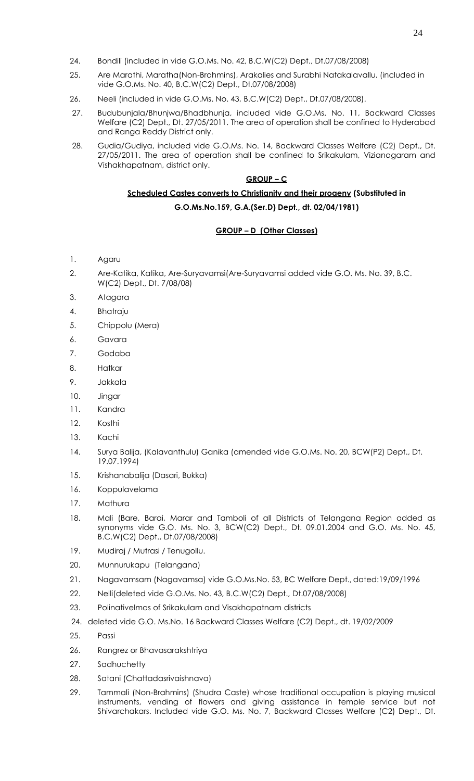- 24. Bondili (included in vide G.O.Ms. No. 42, B.C.W(C2) Dept., Dt.07/08/2008)
- 25. Are Marathi, Maratha(Non-Brahmins), Arakalies and Surabhi Natakalavallu. (included in vide G.O.Ms. No. 40, B.C.W(C2) Dept., Dt.07/08/2008)
- 26. Neeli (included in vide G.O.Ms. No. 43, B.C.W(C2) Dept., Dt.07/08/2008).
- 27. Budubunjala/Bhunjwa/Bhadbhunja, included vide G.O.Ms. No. 11, Backward Classes Welfare (C2) Dept., Dt. 27/05/2011. The area of operation shall be confined to Hyderabad and Ranga Reddy District only.
- 28. Gudia/Gudiya, included vide G.O.Ms. No. 14, Backward Classes Welfare (C2) Dept., Dt. 27/05/2011. The area of operation shall be confined to Srikakulam, Vizianagaram and Vishakhapatnam, district only.

### **GROUP – C**

## **Scheduled Castes converts to Christianity and their progeny (Substituted in**

**G.O.Ms.No.159, G.A.(Ser.D) Dept., dt. 02/04/1981)**

### **GROUP – D (Other Classes)**

- 1. Agaru
- 2. Are-Katika, Katika, Are-Suryavamsi(Are-Suryavamsi added vide G.O. Ms. No. 39, B.C. W(C2) Dept., Dt. 7/08/08)
- 3. Atagara
- 4. Bhatraju
- 5. Chippolu (Mera)
- 6. Gavara
- 7. Godaba
- 8. Hatkar
- 9. Jakkala
- 10. Jingar
- 11. Kandra
- 12. Kosthi
- 13. Kachi
- 14. Surya Balija, (Kalavanthulu) Ganika (amended vide G.O.Ms. No. 20, BCW(P2) Dept., Dt. 19.07.1994)
- 15. Krishanabalija (Dasari, Bukka)
- 16. Koppulavelama
- 17. Mathura
- 18. Mali (Bare, Barai, Marar and Tamboli of all Districts of Telangana Region added as synonyms vide G.O. Ms. No. 3, BCW(C2) Dept., Dt. 09.01.2004 and G.O. Ms. No. 45, B.C.W(C2) Dept., Dt.07/08/2008)
- 19. Mudiraj / Mutrasi / Tenugollu.
- 20. Munnurukapu (Telangana)
- 21. Nagavamsam (Nagavamsa) vide G.O.Ms.No. 53, BC Welfare Dept., dated:19/09/1996
- 22. Nelli(deleted vide G.O.Ms. No. 43, B.C.W(C2) Dept., Dt.07/08/2008)
- 23. Polinativelmas of Srikakulam and Visakhapatnam districts
- 24. deleted vide G.O. Ms.No. 16 Backward Classes Welfare (C2) Dept., dt. 19/02/2009
- 25. Passi
- 26. Rangrez or Bhavasarakshtriya
- 27. Sadhuchetty
- 28. Satani (Chattadasrivaishnava)
- 29. Tammali (Non-Brahmins) (Shudra Caste) whose traditional occupation is playing musical instruments, vending of flowers and giving assistance in temple service but not Shivarchakars. Included vide G.O. Ms. No. 7, Backward Classes Welfare (C2) Dept., Dt.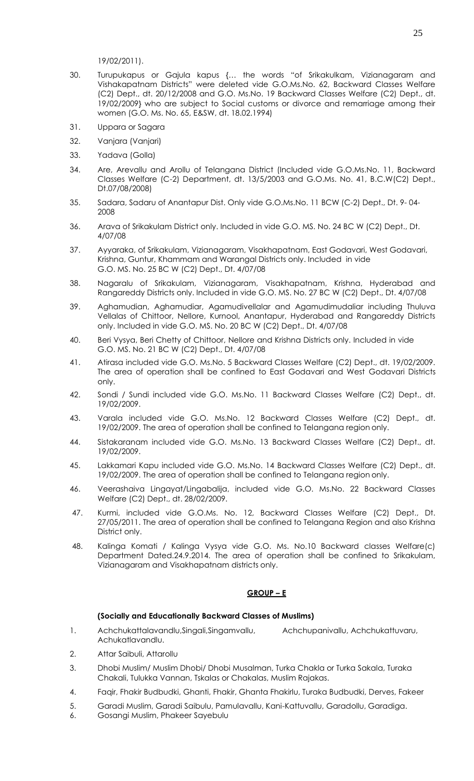19/02/2011).

- 30. Turupukapus or Gajula kapus {… the words "of Srikakulkam, Vizianagaram and Vishakapatnam Districts" were deleted vide G.O.Ms.No. 62, Backward Classes Welfare (C2) Dept., dt. 20/12/2008 and G.O. Ms.No. 19 Backward Classes Welfare (C2) Dept., dt. 19/02/2009} who are subject to Social customs or divorce and remarriage among their women (G.O. Ms. No. 65, E&SW, dt. 18.02.1994)
- 31. Uppara or Sagara
- 32. Vanjara (Vanjari)
- 33. Yadava (Golla)
- 34. Are, Arevallu and Arollu of Telangana District (Included vide G.O.Ms.No. 11, Backward Classes Welfare (C-2) Department, dt. 13/5/2003 and G.O.Ms. No. 41, B.C.W(C2) Dept., Dt.07/08/2008)
- 35. Sadara, Sadaru of Anantapur Dist. Only vide G.O.Ms.No. 11 BCW (C-2) Dept., Dt. 9- 04- 2008
- 36. Arava of Srikakulam District only. Included in vide G.O. MS. No. 24 BC W (C2) Dept., Dt. 4/07/08
- 37. Ayyaraka, of Srikakulam, Vizianagaram, Visakhapatnam, East Godavari, West Godavari, Krishna, Guntur, Khammam and Warangal Districts only. Included in vide G.O. MS. No. 25 BC W (C2) Dept., Dt. 4/07/08
- 38. Nagaralu of Srikakulam, Vizianagaram, Visakhapatnam, Krishna, Hyderabad and Rangareddy Districts only. Included in vide G.O. MS. No. 27 BC W (C2) Dept., Dt. 4/07/08
- 39. Aghamudian, Aghamudiar, Agamudivellalar and Agamudimudaliar including Thuluva Vellalas of Chittoor, Nellore, Kurnool, Anantapur, Hyderabad and Rangareddy Districts only. Included in vide G.O. MS. No. 20 BC W (C2) Dept., Dt. 4/07/08
- 40. Beri Vysya, Beri Chetty of Chittoor, Nellore and Krishna Districts only. Included in vide G.O. MS. No. 21 BC W (C2) Dept., Dt. 4/07/08
- 41. Atirasa included vide G.O. Ms.No. 5 Backward Classes Welfare (C2) Dept., dt. 19/02/2009. The area of operation shall be confined to East Godavari and West Godavari Districts only.
- 42. Sondi / Sundi included vide G.O. Ms.No. 11 Backward Classes Welfare (C2) Dept., dt. 19/02/2009.
- 43. Varala included vide G.O. Ms.No. 12 Backward Classes Welfare (C2) Dept., dt. 19/02/2009. The area of operation shall be confined to Telangana region only.
- 44. Sistakaranam included vide G.O. Ms.No. 13 Backward Classes Welfare (C2) Dept., dt. 19/02/2009.
- 45. Lakkamari Kapu included vide G.O. Ms.No. 14 Backward Classes Welfare (C2) Dept., dt. 19/02/2009. The area of operation shall be confined to Telangana region only.
- 46. Veerashaiva Lingayat/Lingabalija, included vide G.O. Ms.No. 22 Backward Classes Welfare (C2) Dept., dt. 28/02/2009.
- 47. Kurmi, included vide G.O.Ms. No. 12, Backward Classes Welfare (C2) Dept., Dt. 27/05/2011. The area of operation shall be confined to Telangana Region and also Krishna District only.
- 48. Kalinga Komati / Kalinga Vysya vide G.O. Ms. No.10 Backward classes Welfare(c) Department Dated.24.9.2014. The area of operation shall be confined to Srikakulam, Vizianagaram and Visakhapatnam districts only.

#### **GROUP – E**

#### **(Socially and Educationally Backward Classes of Muslims)**

- 1. Achchukattalavandlu, Singali, Singamvallu, Achchupanivallu, Achchukattuvaru, Achukatlavandlu.
- 2. Attar Saibuli, Attarollu
- 3. Dhobi Muslim/ Muslim Dhobi/ Dhobi Musalman, Turka Chakla or Turka Sakala, Turaka Chakali, Tulukka Vannan, Tskalas or Chakalas, Muslim Rajakas.
- 4. Faqir, Fhakir Budbudki, Ghanti, Fhakir, Ghanta Fhakirlu, Turaka Budbudki, Derves, Fakeer
- 5. Garadi Muslim, Garadi Saibulu, Pamulavallu, Kani-Kattuvallu, Garadollu, Garadiga.
- 6. Gosangi Muslim, Phakeer Sayebulu